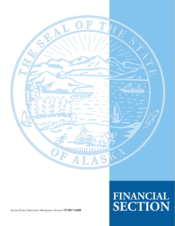

**ALASKA PUBLIC EMPLOYEES' RETIREMENT SYSTEM** • **FY 2011 CAFR**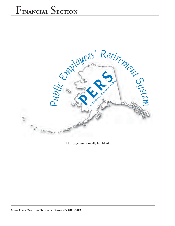

This page intentionally left blank.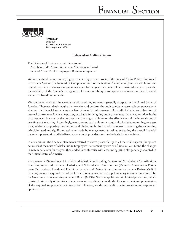

 **KPMG LLP** Suite 600 701 West Eighth Avenue Anchorage, AK 99501

#### **Independent Auditors' Report**

The Division of Retirement and Benefits and Members of the Alaska Retirement Management Board State of Alaska Public Employees' Retirement System:

We have audited the accompanying statement of system net assets of the State of Alaska Public Employees' Retirement System (the System) (a Component Unit of the State of Alaska) as of June 30, 2011, and the related statement of changes in system net assets for the year then ended. These financial statements are the responsibility of the System's management. Our responsibility is to express an opinion on these financial statements based on our audit.

We conducted our audit in accordance with auditing standards generally accepted in the United States of America. Those standards require that we plan and perform the audit to obtain reasonable assurance about whether the financial statements are free of material misstatement. An audit includes consideration of internal control over financial reporting as a basis for designing audit procedures that are appropriate in the circumstances, but not for the purpose of expressing an opinion on the effectiveness of the internal control over financial reporting. Accordingly, we express no such opinion. An audit also includes examining, on a test basis, evidence supporting the amounts and disclosures in the financial statements, assessing the accounting principles used and significant estimates made by management, as well as evaluating the overall financial statement presentation. We believe that our audit provides a reasonable basis for our opinion.

In our opinion, the financial statements referred to above present fairly, in all material respects, the system net assets of the State of Alaska Public Employees' Retirement System as of June 30, 2011, and the changes in system net assets for the year then ended in conformity with accounting principles generally accepted in the United States of America.

Management's Discussion and Analysis and Schedules of Funding Progress and Schedules of Contributions from Employers and the State of Alaska, and Schedules of Contributions (Defined Contribution Retirement Occupational Death and Disability Benefits and Defined Contribution Retirement Retiree Medical Benefits) are not a required part of the financial statements, but are supplementary information required by the Governmental Accounting Standards Board (GASB). We have applied certain limited procedures, which consisted principally of inquiries of management regarding the methods of measurement and presentation of the required supplementary information. However, we did not audit this information and express no opinion on it.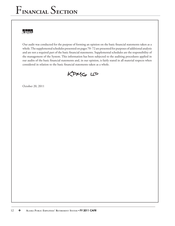# K PMG.

Our audit was conducted for the purpose of forming an opinion on the basic financial statements taken as a whole. The supplemental schedules presented on pages 70- 72 are presented for purposes of additional analysis and are not a required part of the basic financial statements. Supplemental schedules are the responsibility of the management of the System. This information has been subjected to the auditing procedures applied in our audits of the basic financial statements and, in our opinion, is fairly stated in all material respects when considered in relation to the basic financial statements taken as a whole.



October 20, 2011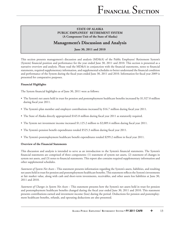# **Management's Discussion and Analysis**

**June 30, 2011 and 2010**

This section presents management's discussion and analysis (MD&A) of the Public Employees' Retirement System's (System) financial position and performance for the year ended June 30, 2011 and 2010. This section is presented as a narrative overview and analysis. Please read the MD&A in conjunction with the financial statements, notes to financial statements, required supplementary information, and supplemental schedules to better understand the financial condition and performance of the System during the fiscal years ended June 30, 2011 and 2010. Information for fiscal year 2009 is presented for comparative purposes.

### **Financial Highlights**

The System financial highlights as of June 30, 2011 were as follows:

- The System's net assets held in trust for pension and postemployment healthcare benefits increased by \$1,927.0 million during fiscal year 2011.
- The System's plan member and employer contributions increased by \$16.7 million during fiscal year 2011.
- The State of Alaska directly appropriated \$165.8 million during fiscal year 2011 as statutorily required.
- The System net investment income increased \$1,125.2 million to \$2,009.4 million during fiscal year 2011.
- The System's pension benefit expenditures totaled \$525.3 million during fiscal year 2011.
- The System's postemployment healthcare benefit expenditures totaled \$299.2 million in fiscal year 2011.

#### **Overview of the Financial Statements**

This discussion and analysis is intended to serve as an introduction to the System's financial statements. The System's financial statements are comprised of three components: (1) statement of system net assets, (2) statement of changes in system net assets, and (3) notes to financial statements. This report also contains required supplementary information and other supplemental schedules.

*Statement of System Net Assets* – This statement presents information regarding the System's assets, liabilities, and resulting net assets held in trust for pension and postemployment healthcare benefits. This statement reflects the System's investments at fair market value, along with cash and short-term investments, receivables, and other assets less liabilities at June 30, 2011 and 2010.

*Statement of Changes in System Net Assets –* This statement presents how the System's net assets held in trust for pension and postemployment healthcare benefits changed during the fiscal year ended June 30, 2011 and 2010. This statement presents contributions earned and investment income (loss) during the period. Deductions for pension and postemployment healthcare benefits, refunds, and operating deductions are also presented.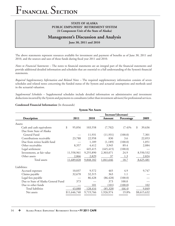## **STATE OF ALASKA PUBLIC EMPLOYEES' RETIREMENT SYSTEM (A Component Unit of the State of Alaska)**

# **Management's Discussion and Analysis**

**June 30, 2011 and 2010**

The above statements represent resources available for investment and payment of benefits as of June 30, 2011 and 2010, and the sources and uses of those funds during fiscal year 2011 and 2010.

*Notes to Financial Statements* – The notes to financial statements are an integral part of the financial statements and provide additional detailed information and schedules that are essential to a full understanding of the System's financial statements.

*Required Supplementary Information and Related Notes –* The required supplementary information consists of seven schedules and related notes concerning the funded status of the System and actuarial assumptions and methods used in the actuarial valuation.

*Supplemental Schedules –* Supplemental schedules include detailed information on administrative and investment deductions incurred by the System and payments to consultants (other than investment advisors) for professional services.

#### **Condensed Financial Information** (In thousands)

| <b>System Net Assets</b>            |              |           |            |                     |              |  |  |  |
|-------------------------------------|--------------|-----------|------------|---------------------|--------------|--|--|--|
|                                     |              |           |            | Increase/(decrease) |              |  |  |  |
| Description                         | 2011         | 2010      | Amount     | Percentage          | 2009         |  |  |  |
| Assets:                             |              |           |            |                     |              |  |  |  |
| Cash and cash equivalents           | \$<br>95,856 | 103,558   | (7,702)    | $(7.4)\%$           | 39,636<br>\$ |  |  |  |
| Due from State of Alaska            |              |           |            |                     |              |  |  |  |
| General Fund                        |              | 11,931    | (11, 931)  | (100.0)             | 7,301        |  |  |  |
| Contributions receivable            | 23,788       | 22,958    | 830        | 3.6                 | 22,053       |  |  |  |
| Due from retiree health fund        |              | 1,189     | (1,189)    | (100.0)             | 1,051        |  |  |  |
| Other receivables                   | 8,357        | 4,412     | 3,945      | 89.4                | 2,084        |  |  |  |
| Legal settlement                    |              | 445,415   | (445, 415) | (100.0)             |              |  |  |  |
| Investments, at fair value          | 11,558,961   | 9,255,890 | 2,303,071  | 24.9                | 8,550,532    |  |  |  |
| Other assets                        | 2,866        | 2,829     | 37         | 1.3                 | 2,824        |  |  |  |
| Total assets                        | 11,689,828   | 9,848,182 | 1,841,646  | 18.7                | 8,625,481    |  |  |  |
| Liabilities:                        |              |           |            |                     |              |  |  |  |
| Accrued expenses                    | 10,037       | 9,572     | 465        | 4.9                 | 9,747        |  |  |  |
| Claims payable                      | 32,678       | 32,315    | 363        | 1.1                 |              |  |  |  |
| Legal fees payable                  |              | 86,428    | (86, 428)  | (100.0)             |              |  |  |  |
| Due to State of Alaska General Fund | 373          |           | 373        | 100.0               |              |  |  |  |
| Due to other funds                  |              | 101       | (101)      | (100.0)             | 102          |  |  |  |
| Total liabilities                   | 43,088       | 128,416   | (85,328)   | (66.4)              | 9,849        |  |  |  |
| Net assets                          | \$11,646,740 | 9,719,766 | 1,926,974  | 19.8%               | \$8,615,632  |  |  |  |
|                                     |              |           |            |                     |              |  |  |  |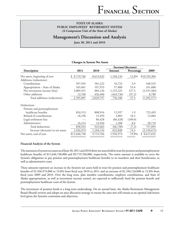## **Management's Discussion and Analysis**

**June 30, 2011 and 2010**

|                                   | Changes in oysiem Tyer Assets |           |            |            |                |  |  |  |  |  |
|-----------------------------------|-------------------------------|-----------|------------|------------|----------------|--|--|--|--|--|
| Increase/(decrease)               |                               |           |            |            |                |  |  |  |  |  |
| Description                       | 2011                          | 2010      | Amount     | Percentage | 2009           |  |  |  |  |  |
| Net assets, beginning of year     | 9,719,766                     | 8,615,632 | 1,104,134  | 12.8%      | \$10,765,304   |  |  |  |  |  |
| Additions (reductions):           |                               |           |            |            |                |  |  |  |  |  |
| Contributions                     | 597,945                       | 581,222   | 16,723     | 2.9        | 548,525        |  |  |  |  |  |
| Appropriation - State of Alaska   | 165,841                       | 107,953   | 57,888     | 53.6       | 241,600        |  |  |  |  |  |
| Net investment income (loss)      | 2,009,351                     | 884,126   | 1,125,225  | 127.3      | (2,191,482)    |  |  |  |  |  |
| Other additions                   | 12,760                        | 456,496   | (443, 736) | (97.2)     | 8,780          |  |  |  |  |  |
| Total additions (reductions)      | 2,785,897                     | 2,029,797 | 756,100    | 37.3       | (1,392,577)    |  |  |  |  |  |
| Deductions:                       |                               |           |            |            |                |  |  |  |  |  |
| Pension and postemployment        |                               |           |            |            |                |  |  |  |  |  |
| healthcare benefits               | 824,513                       | 808,916   | 15,597     | 1.9        | 722,493        |  |  |  |  |  |
| Refund of contributions           | 18,196                        | 15,393    | 2,803      | 18.2       | 13,884         |  |  |  |  |  |
| Legal settlement fees             |                               | 86,428    | (86, 428)  | (100.0)    |                |  |  |  |  |  |
| Administrative                    | 16,214                        | 14,926    | 1,288      | 8.6        | 20,718         |  |  |  |  |  |
| Total deductions                  | 858,923                       | 925,663   | (66,740)   | (7.2)      | 757,095        |  |  |  |  |  |
| Increase (decrease) in net assets | 1,926,974                     | 1,104,134 | 822,840    | 74.5       | (2,149,672)    |  |  |  |  |  |
| Net assets, end of year           | \$11,646,740                  | 9,719,766 | 1,926,974  | 19.8%      | 8,615,632<br>S |  |  |  |  |  |

## **Changes in System Net Assets**

#### **Financial Analysis of the System**

The statement of system net assets as of June 30, 2011 and 2010 show net assets held in trust for pension and postemployment healthcare benefits of \$11,646,740,000 and \$9,719,766,000, respectively. The entire amount is available to cover the System's obligations to pay pension and postemployment healthcare benefits to its members and their beneficiaries, as well as administrative costs.

These amounts represent an increase in the System's net assets held in trust for pension and postemployment healthcare benefits of \$1,926,974,000 or 19.8% from fiscal year 2010 to 2011 and an increase of  $$1,104,134,000$  or 12.8% from fiscal years 2009 and 2010. Over the long term, plan member contributions, employer contributions, and State of Alaska appropriations, as well as investment income earned, are expected to sufficiently fund the pension benefit and postemployment healthcare costs of the System.

The investment of pension funds is a long-term undertaking. On an annual basis, the Alaska Retirement Management Board (Board) reviews and adopts an asset allocation strategy to ensure the asset mix will remain at an optimal risk/return level given the System's constraints and objectives.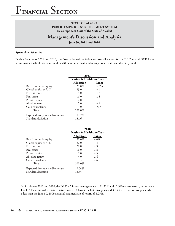## **STATE OF ALASKA PUBLIC EMPLOYEES' RETIREMENT SYSTEM (A Component Unit of the State of Alaska)**

# **Management's Discussion and Analysis**

**June 30, 2011 and 2010**

#### *System Asset Allocation*

During fiscal years 2011 and 2010, the Board adopted the following asset allocation for the DB Plan and DCR Plan's retiree major medical insurance fund, health reimbursement, and occupational death and disability fund:

|                                  | 2011                                  |          |  |  |  |
|----------------------------------|---------------------------------------|----------|--|--|--|
|                                  | <b>Pension &amp; Healthcare Trust</b> |          |  |  |  |
|                                  | <b>Allocation</b>                     | Range    |  |  |  |
| Broad domestic equity            | 29.0%                                 | $\pm$ 6% |  |  |  |
| Global equity ex-U.S.            | 23.0                                  | ± 4      |  |  |  |
| Fixed income                     | 19.0                                  | ± 3      |  |  |  |
| Real assets                      | 16.0                                  | $\pm$ 8  |  |  |  |
| Private equity                   | 7.0                                   | ± 5      |  |  |  |
| Absolute return                  | 5.0                                   | ± 4      |  |  |  |
| Cash equivalents                 | 1.0                                   | $-1/+5$  |  |  |  |
| Total                            | 100.0%                                |          |  |  |  |
| Expected five-year median return | 8.07%                                 |          |  |  |  |
| Standard deviation               | 13.46                                 |          |  |  |  |

|                                  | 2010                                  |         |  |  |  |
|----------------------------------|---------------------------------------|---------|--|--|--|
|                                  | <b>Pension &amp; Healthcare Trust</b> |         |  |  |  |
|                                  | <b>Allocation</b>                     | Range   |  |  |  |
| Broad domestic equity            | 30.0%                                 | ± 6%    |  |  |  |
| Global equity ex-U.S.            | 22.0                                  | ± 4     |  |  |  |
| Fixed income                     | 20.0                                  | ± 3     |  |  |  |
| Real assets                      | 16.0                                  | $\pm$ 8 |  |  |  |
| Private equity                   | 7.0                                   | ± 5     |  |  |  |
| Absolute return                  | 5.0                                   | ± 4     |  |  |  |
| Cash equivalents                 |                                       | + 6     |  |  |  |
| Total                            | 100.0%                                |         |  |  |  |
| Expected five-year median return | 9.04%                                 |         |  |  |  |
| Standard deviation               | 12.85                                 |         |  |  |  |

For fiscal years 2011 and 2010, the DB Plan's investments generated a 21.22% and 11.39% rate of return, respectively. The DB Plan's annualized rate of return was 2.38% over the last three years and 4.33% over the last five years, which is less than the June 30, 2009 actuarial assumed rate of return of 8.25%.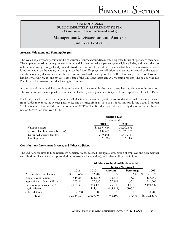# **Management's Discussion and Analysis**

**June 30, 2011 and 2010**

#### **Actuarial Valuations and Funding Progress**

The overall objective of a pension fund is to accumulate sufficient funds to meet all expected future obligations to members. The employer contribution requirements are actuarially determined as a percentage of eligible salaries, and reflect the cost of benefits accruing during a fiscal year and a fixed amortization of the unfunded accrued liability. The amortization period is recommended by the actuary and adopted by the Board. Employer contribution rates are recommended by the actuary and the actuarially determined contribution rate is considered for adoption by the Board annually. The ratio of assets to liabilities was 61.5%, at June 30, 2010 (the date of the DB Plan's latest actuarial valuation report). The goal for the DB Plan is to make progress toward achieving full funding.

A summary of the actuarial assumptions and methods is presented in the notes to required supplementary information. The assumptions, when applied in combination, fairly represent past and anticipated future experience of the DB Plan.

For fiscal year 2011 (based on the June 30, 2008 actuarial valuation report) the consolidated normal cost rate decreased from  $9.46\%$  to  $9.33\%$ , the average past service rate increased from 18.19% to 18.63%, thus producing a total fiscal year 2011, actuarially determined contribution rate of 27.96%. The Board adopted the actuarially determined contribution rate of 27.96% for fiscal year 2011.

|                                      | <b>Valuation Year</b> |            |  |  |  |
|--------------------------------------|-----------------------|------------|--|--|--|
|                                      | (In thousands)        |            |  |  |  |
|                                      | 2010                  | 2009       |  |  |  |
| Valuation assets                     | \$11,157,464          | 10,242,978 |  |  |  |
| Accrued liabilities (total benefits) | 18,132,492            | 16,579,371 |  |  |  |
| Unfunded accrued liability           | 6,975,028             | 6,336,393  |  |  |  |
| Funding ratio                        | 61.5%                 | 61.8%      |  |  |  |

#### **Contributions, Investment Income, and Other Additions**

The additions required to fund retirement benefits are accumulated through a combination of employer and plan member contributions, State of Alaska appropriation, investment income (loss), and other additions as follows:

|                                 |             | <b>Additions (reductions)</b> (In thousands) |            |                     |               |  |  |  |  |
|---------------------------------|-------------|----------------------------------------------|------------|---------------------|---------------|--|--|--|--|
|                                 |             |                                              |            | Increase/(decrease) |               |  |  |  |  |
|                                 | 2011        | 2010                                         | Amount     | Percentage          | 2009          |  |  |  |  |
| Plan members contributions      | 153,664     | 152,787                                      | 877        | $0.6\%$             | 141,073<br>\$ |  |  |  |  |
| Employer contributions          | 444,281     | 428,435                                      | 15,846     | 3.7                 | 407,452       |  |  |  |  |
| Appropriation - State of Alaska | 165,841     | 107,953                                      | 57,888     | 53.6                | 241,600       |  |  |  |  |
| Net investment income (loss)    | 2,009,351   | 884,126                                      | 1,125,225  | 127.3               | (2,191,482)   |  |  |  |  |
| Legal settlement                |             | 445,414                                      | (445, 414) | (100.0)             |               |  |  |  |  |
| Other additions                 | 12,760      | 11,082                                       | 1,678      | 15.1                | 8,780         |  |  |  |  |
| Total                           | \$2,785,897 | 2,029,797                                    | 756,100    | 37.3%               | \$(1,392,577) |  |  |  |  |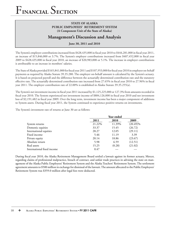## **STATE OF ALASKA PUBLIC EMPLOYEES' RETIREMENT SYSTEM (A Component Unit of the State of Alaska)**

# **Management's Discussion and Analysis**

**June 30, 2011 and 2010**

The System's employer contributions increased from \$428,435,000 in fiscal year 2010 to \$444,281,000 in fiscal year 2011, an increase of \$15,846,000 or 3.7%. The System's employer contributions increased from  $$407,452,000$  in fiscal year 2009 to  $$428,435,000$  in fiscal year 2010, an increase of  $$20,983,000$  or 5.1%. The increase in employer contributions is attributable to an increase in members' salaries.

The State of Alaska provided \$165,841,000 for fiscal year 2011 and \$107,953,000 for fiscal year 2010 in employer on-behalf payments as required by Alaska Statute 39.35.280. The employer on-behalf amount is calculated by the System's actuary. It is based on projected payroll and the difference between the actuarially determined contribution rate and the statutory effective rate. The actuarially determined contribution rate increased from 27.65% in fiscal year 2010 to 27.96% in fiscal year 2011. The employer contribution rate of 22.00% is established in Alaska Statute 39.35.255(a).

The System's net investment income in fiscal year 2011 increased by \$1,125,225,000 or 127.3% from amounts recorded in fiscal year 2010. The System experienced net investment income of \$884,126,000 in fiscal year 2010 and net investment loss of \$2,191,482 in fiscal year 2009. Over the long term, investment income has been a major component of additions to System assets. During fiscal year 2011, the System continued to experience positive returns on investments.

The System's investment rate of returns at June 30 are as follows:

|                            |        | Year ended |             |
|----------------------------|--------|------------|-------------|
|                            | 2011   | 2010       | 2009        |
| System returns             | 21.22% | 11.39%     | $(20.49)\%$ |
| Domestic equities          | 33.37  | 15.45      | (26.72)     |
| International equities     | 28.27  | 12.05      | (29.11)     |
| Fixed income               | 5.46   | 11.19      | 3.39        |
| Private equity             | 20.14  | 18.86      | (23.67)     |
| Absolute return            | 5.98   | 6.59       | (12.51)     |
| Real assets                | 15.25  | (0.28)     | (21.02)     |
| International fixed income | 0.47   |            |             |

During fiscal year 2010, the Alaska Retirement Management Board settled a lawsuit against its former actuary, Mercer, regarding claims of professional malpractice, breach of contract, and unfair trade practices in advising the state on management of the Alaska Public Employees' Retirement System and the Alaska Teachers' Retirement System. The settlement agreement amounts to \$500 million in exchange for dismissal of the lawsuit. The amount allocated to the Public Employees' Retirement System was \$359.0 million after legal fees were deducted.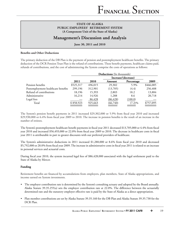# **Management's Discussion and Analysis**

**June 30, 2011 and 2010**

#### **Benefits and Other Deductions**

The primary deduction of the DB Plan is the payment of pension and postemployment healthcare benefits. The primary deduction of the DCR Pension Trust Plan is the refund of contributions. These benefit payments, healthcare claims paid, refunds of contributions, and the cost of administering the System comprise the costs of operations as follows:

|                                    | Deductions (In thousands) |         |                     |            |           |  |  |  |  |
|------------------------------------|---------------------------|---------|---------------------|------------|-----------|--|--|--|--|
|                                    |                           |         | Increase/(decrease) |            |           |  |  |  |  |
|                                    | 2011                      | 2010    | Amount              | Percentage | 2009      |  |  |  |  |
| Pension benefits                   | \$525,317                 | 496,015 | 29,302              | 5.9%       | \$466,085 |  |  |  |  |
| Postemployment healthcare benefits | 299,196                   | 312,901 | (13,705)            | (4.4)      | 256,408   |  |  |  |  |
| Refund of contributions            | 18,196                    | 15,393  | 2,803               | 18.2       | 13,884    |  |  |  |  |
| Administrative                     | 16,214                    | 14,926  | 1,288               | 8.6        | 20,718    |  |  |  |  |
| Legal fees                         |                           | 86,428  | (86, 428)           | (100.0)    |           |  |  |  |  |
| Total                              | \$858,923                 | 925,663 | (66,740)            | $(7.2)\%$  | \$757,095 |  |  |  |  |

The System's pension benefit payments in 2011 increased \$29,302,000 or 5.9% from fiscal year 2010 and increased  $$29,930,000$  or  $6.4\%$  from fiscal year 2009 to 2010. The increase in pension benefits is the result of an increase in the number of retirees.

The System's postemployment healthcare benefit payments in fiscal year 2011 decreased \$13,705,000 or 4.4% from fiscal year 2010 and increased \$56,493,000 or 22.0% from fiscal year 2009 to 2010. The decrease in healthcare costs in fiscal year 2011 is attributable in part to greater discounts with our preferred providers of healthcare.

The System's administrative deductions in 2011 increased \$1,288,000 or 8.6% from fiscal year 2010 and decreased \$5,792,000 or 28.0% from fiscal year 2009. The increase in administrative costs in fiscal year 2011 is related to an increase in personal services and actuarial costs.

During fiscal year 2010, the system incurred legal fees of \$86,428,000 associated with the legal settlement paid to the State of Alaska by Mercer.

#### **Funding**

Retirement benefits are financed by accumulations from employers, plan members, State of Alaska appropriations, and income earned on System investments.

- The employer contribution rate is determined by the System's consulting actuary and adopted by the Board annually. Alaska Statute 39.35.255(a) sets the employer contribution rate at 22.0%. The difference between the actuarially determined rate and the statutory employer effective rate is paid by the State of Alaska as a direct appropriation.
- Plan member contributions are set by Alaska Statute 39.35.160 for the DB Plan and Alaska Statute 39.35.730 for the DCR Plan.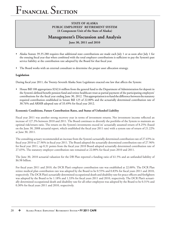## **STATE OF ALASKA PUBLIC EMPLOYEES' RETIREMENT SYSTEM (A Component Unit of the State of Alaska)**

# **Management's Discussion and Analysis**

**June 30, 2011 and 2010**

- Alaska Statute 39.35.280 requires that additional state contributions are made each July 1 or as soon after July 1 for the ensuing fiscal year that when combined with the total employer contributions is sufficient to pay the System's past service liability at the contribution rate adopted by the Board for that fiscal year.
- The Board works with an external consultant to determine the proper asset allocation strategy.

#### **Legislation**

During fiscal year 2011, the Twenty-Seventh Alaska State Legislature enacted one law that affects the System:

• House Bill 108 appropriates \$242.6 million from the general fund to the Department of Administration for deposit in the System's defined benefit pension fund and retiree healthcare trust as partial payment of the participating employers' contributions for the fiscal year ending June 30, 2012. This appropriation is to fund the difference between the statutory required contribution established in Senate Bill 125 of 22.00% and the actuarially determined contribution rate of 30.76% and ARMB adopted rate of 33.49% for fiscal year 2012.

#### **Economic Conditions, Future Contribution Rates, and Status of Unfunded Liability**

Fiscal year 2011 was another strong recovery year in terms of investment returns. Net investment income reflected an increase of 127.3% between 2010 and 2011. The Board continues to diversify the portfolio of the System to maintain an optimal risk/return ratio. The return on the System's investments exceed its' actuarially assumed return of 8.25% (based on the June 30, 2008 actuarial report, which established the fiscal year 2011 rate) with a system rate of return of  $21.22\%$ at June 30, 2011.

The consulting actuary recommended an increase from the System's actuarially determined contribution rate of 27.65% in fiscal year 2010 to 27.96% in fiscal year 2011. The Board adopted the actuarially determined contribution rate of 27.96% for fiscal year 2011, up 0.31 points from the fiscal year 2010 Board adopted actuarially determined contribution rate of 27.65%. The statutory employer contribution rate remained at 22.00% for fiscal years 2010 and 2011.

The June 30, 2010 actuarial valuation for the DB Plan reported a funding ratio of 61.5% and an unfunded liability of \$6.98 billion.

For fiscal years 2011 and 2010, the DCR Plan's employer contribution rate was established at 22.00%. The DCR Plan retiree medical plan contribution rate was adopted by the Board to be 0.55% and 0.83% for fiscal years 2011 and 2010, respectively. The DCR Plan's actuarially determined occupational death and disability rate for peace officers and firefighters was adopted by the Board to be 1.18% and 1.33% for fiscal years 2011 and 2010, respectively. The DCR Plan's actuarially determined occupational death and disability rate for all other employees was adopted by the Board to be 0.31% and  $0.30\%$  for fiscal years 2011 and 2010, respectively.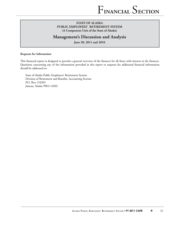# **Management's Discussion and Analysis**

**June 30, 2011 and 2010**

#### **Requests for Information**

This financial report is designed to provide a general overview of the finances for all those with interest in the finances. Questions concerning any of the information provided in this report or requests for additional financial information should be addressed to:

State of Alaska Public Employees' Retirement System Division of Retirement and Benefits, Accounting Section P.O. Box 110203 Juneau, Alaska 99811-0203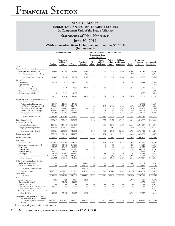## **STATE OF ALASKA PUBLIC EMPLOYEES' RETIREMENT SYSTEM (A Component Unit of the State of Alaska)**

**Statements of Plan Net Assets**

## **June 30, 2011**

### (With summarized financial information from June 30, 2010)

**(In thousands)**

|                                                                                                                |                   | Defined benefit plans                 |                      |                         |                                | Defined contribution pension trust fund |                            |                                            |                   |                                  |                               |
|----------------------------------------------------------------------------------------------------------------|-------------------|---------------------------------------|----------------------|-------------------------|--------------------------------|-----------------------------------------|----------------------------|--------------------------------------------|-------------------|----------------------------------|-------------------------------|
|                                                                                                                |                   |                                       |                      |                         |                                | Occupational death<br>and disability    |                            |                                            |                   |                                  |                               |
|                                                                                                                | Pension           | Alaska retiree<br>healthcare<br>trust | Total                | Participant<br>directed | All<br>others                  | Peace<br>officer/<br>firefighter        | Retiree<br>medical<br>plan | Healthcare<br>reimbursement<br>arrangement | Total             | System total<br>June 30,<br>2011 | System total<br>June 30, 2010 |
| Assets:                                                                                                        |                   |                                       |                      |                         |                                |                                         |                            |                                            |                   |                                  |                               |
| Cash and cash equivalents (notes 2 and 4):                                                                     |                   |                                       |                      |                         |                                |                                         |                            |                                            |                   |                                  |                               |
| Short-term fixed income pool<br>Great West/participant directed deposit                                        | \$<br>46,603      | 39,348<br>$\qquad \qquad$             | 85,951<br>$=$        | 7,591<br>897            | 97<br>$\overline{\phantom{0}}$ | 42<br>$=$                               | 212<br>$=$                 | 1,066<br>$\qquad \qquad \longleftarrow$    | 9,008<br>897      | 94,959<br>897                    | 99,603<br>3,955               |
| Total cash and cash equivalents                                                                                | 46,603            | 39,348                                | 85,951               | 8,488                   | 97                             | 42                                      | 212                        | 1,066                                      | 9,905             | 95,856                           | 103,558                       |
| Receivables:<br>Contributions                                                                                  | 23,228            | 422                                   | 23,650               | 96                      | $\mathfrak{2}$                 |                                         | $\overline{4}$             | 36                                         | 138               | 23,788                           | 22,958                        |
| Legal settlement<br>Due from State of Alaska                                                                   |                   | 8,138                                 | 8,138                | 2,874                   | 62                             | 31                                      | 121                        | 723                                        | 3,811             | 11,949                           | 445,415<br>18,113             |
| General Fund (note 2)<br>Due from retiree health fund                                                          |                   |                                       |                      |                         |                                |                                         |                            |                                            |                   |                                  | 11,724                        |
| Other account receivable                                                                                       | $\mathfrak{2}$    | 8,355                                 | 8,357                |                         |                                |                                         |                            |                                            |                   | 8,357                            | 4,412                         |
| Total receivables                                                                                              | 23,230            | 16,915                                | 40,145               | 2,970                   | 64                             | 31                                      | 125                        | 759                                        | 3,949             | 44,094                           | 502,622                       |
| Investments (notes 2, 3, 4 and 5) at fair value:<br>Fixed income securities                                    |                   |                                       |                      |                         |                                |                                         |                            |                                            |                   |                                  |                               |
| Retirement fixed income pool<br>U.S. Treasury fixed income pool                                                | 15,133<br>671,024 | 12,331<br>575,421                     | 27,464<br>1,246,445  |                         | 668                            | 242                                     | 1,556                      | 6,806                                      | 9,272             | 27,464<br>1,255,717              | 911,685<br>453,435            |
| High yield fixed income pool                                                                                   | 155,952           | 127,063                               | 283,015              |                         | 102                            | 37                                      | 238                        | 1,043                                      | 1,420             | 284,435                          | 227,594                       |
| International fixed income pool                                                                                | 144,490           | 117,723                               | 262,213              |                         | 105                            | 38                                      | 243                        | 1,063                                      | 1,449             | 263,662                          | 138,243                       |
| Emerging markets debt pool                                                                                     | 48,796            | 39,757                                | 88,553               |                         | 103                            | 37                                      | 239                        | 1,047                                      | 1,426             | 89,979                           | 70,827                        |
| Total fixed income securities                                                                                  | 1,035,395         | 872,295                               | 1,907,690            |                         | 978                            | 354                                     | 2,276                      | 9,959                                      | 13,567            | 1,921,257                        | 1,801,784                     |
| Broad domestic equity<br>Global equity Ex-U.S.:                                                                | 1,872,013         | 1,525,039                             | 3,397,052            |                         | 1,536                          | 555                                     | 3,577                      | 15,647                                     | 21,315            | 3,418,367                        | 2,669,225                     |
| International equity pool                                                                                      | 1,125,179         | 916,645                               | 2,041,824            |                         | 966                            | 349                                     | 2,249                      | 9,839                                      | 13,403            | 2,055,227                        | 1,406,031                     |
| Emerging markets equity pool                                                                                   | 376,345           | 306,632                               | 682,977              |                         | 253                            | 92                                      | 591                        | 2,584                                      | 3,520             | 686,497                          | 540,183                       |
| Total global equity Ex-U.S.                                                                                    | 1,501,524         | 1,223,277                             | 2,724,801            |                         | 1,219                          | 441                                     | 2,840                      | 12,423                                     | 16,923            | 2,741,724                        | 1,946,214                     |
| Private equity pool                                                                                            | 576,318           | 469,540                               | 1,045,858            |                         | 362                            | 131                                     | 844                        | 3,691                                      | 5,028             | 1,050,886                        | 892,470                       |
| Absolute return pool                                                                                           | 275,814           | 224,717                               | 500,531              |                         | 258                            | 93                                      | 600                        | 2,624                                      | 3,575             | 504,106                          | 463,864                       |
| Real assets:                                                                                                   |                   |                                       |                      |                         |                                |                                         |                            |                                            |                   |                                  |                               |
| Real estate pool                                                                                               | 500,940           | 408,364                               | 909,304              |                         | 508                            | 183                                     | 1,182                      | 5,173                                      | 7,046             | 916,350                          | 779,193                       |
| Real estate investment trust pool                                                                              | 63,757            | 51,942                                | 115,699              |                         | 16                             | 6                                       | 37                         | 161                                        | 220               | 115,919                          | 36,034                        |
| Energy pool<br>Farmland pool                                                                                   | 35,175<br>196,398 | 28,659<br>171,422                     | 63,834<br>367,820    |                         | 16<br>82                       | 6<br>30                                 | 36<br>192                  | 158<br>837                                 | 216<br>1,141      | 64,050<br>368,961                | 58,273<br>330,167             |
| Farmland water pool                                                                                            | 13,877            | $\overline{\phantom{0}}$              | 13,877               |                         | $\overline{\phantom{0}}$       |                                         |                            |                                            |                   | 13,877                           | 11,315                        |
| Timber pool                                                                                                    | 73,259            | 59,691                                | 132,950              |                         | 51                             | 18                                      | 119                        | 520                                        | 708               | 133,658                          | 114,817                       |
| Treasury inflation protected securities pool                                                                   | 73,480            | 59,869                                | 133,349              |                         | 164                            | 60                                      | 383                        | 1,676                                      | 2,283             | 135,632                          | 55,549                        |
| Total real assets                                                                                              | 956,886           | 779,947                               | 1,736,833            |                         | 837                            | 303                                     | 1,949                      | 8,525                                      | 11,614            | 1,748,447                        | 1,385,348                     |
| Other investment funds, at fair value:<br>Pooled investment funds                                              |                   |                                       |                      |                         |                                |                                         |                            |                                            |                   |                                  |                               |
| Collective investment funds                                                                                    |                   |                                       |                      | 49,064<br>125,110       |                                |                                         |                            |                                            | 49,064<br>125,110 | 49,064<br>125,110                | 19,200<br>77,785              |
| Total other investment funds                                                                                   |                   |                                       |                      | 174,174                 |                                |                                         |                            |                                            | 174,174           | 174,174                          | 96,985                        |
| Total investments                                                                                              | 6,217,950         | 5,094,815                             | 11,312,765           | 174,174                 | 5,190                          | 1,877                                   | 12,086                     | 52,869                                     | 246,196           | 11,558,961                       | 9,255,890                     |
| Other assets                                                                                                   | 51                | 2,815                                 | 2,866                |                         |                                |                                         |                            |                                            |                   | 2,866                            | 2,829                         |
| Total assets                                                                                                   | 6,287,834         | 5,153,893                             | 11,441,727           | 185,632                 | 5,351                          | 1,950                                   | 12,423                     | 54,694                                     | 260,050           | 11,701,777                       | 9,864,899                     |
| Liabilities:<br>Accrued expenses                                                                               | 7,587             | 520                                   | 8,107                | 1,930                   |                                |                                         |                            |                                            | 1,930             | 10,037                           | 9,572                         |
| Claims payable (note 6)                                                                                        | -                 | 32,678                                | 32,678               |                         |                                |                                         |                            |                                            |                   | 32,678                           | 32,315                        |
| Legal fees payable                                                                                             |                   |                                       |                      |                         |                                |                                         |                            |                                            |                   |                                  | 86,428                        |
| Due to State of Alaska General Fund                                                                            | 12,322            |                                       | 12,322               |                         |                                |                                         |                            |                                            |                   | 12,322                           | 6,182                         |
| Due to Retiree Health Medical                                                                                  |                   |                                       |                      |                         |                                |                                         |                            |                                            |                   |                                  | 10,535                        |
| Due to Alaska Retiree Healthcare Trust - TRS                                                                   |                   |                                       |                      |                         |                                |                                         |                            |                                            |                   |                                  | 101                           |
| Total liabilities                                                                                              | 19,909            | 33,198                                | 53,107               | 1,930                   |                                |                                         |                            |                                            | 1,930             | 55,037                           | 145,133                       |
| Commitment and contingencies (note 9)<br>Net assets held in trust for pension<br>and postemployment healthcare | \$6,267,925       |                                       | 5,120,695 11,388,620 | 183,702                 | 5,351                          | 1,950                                   | 12,423                     | 54,694                                     | 258,120           | 11,646,740                       | 9,719,766                     |
| benefits                                                                                                       |                   |                                       |                      |                         |                                |                                         |                            |                                            |                   |                                  |                               |
| See accompanying notes to financial statements.                                                                |                   |                                       |                      |                         |                                |                                         |                            |                                            |                   |                                  |                               |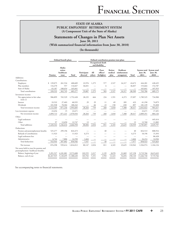## **Statements of Changes in Plan Net Assets June 30, 2011**

(With summarized financial information from June 30, 2010)

**(In thousands)**

|                                                                                 |               | Defined benefit plans                    |            | Defined contribution pension trust plans |               |                                      |                            |                                                   |         |                  |                                                      |
|---------------------------------------------------------------------------------|---------------|------------------------------------------|------------|------------------------------------------|---------------|--------------------------------------|----------------------------|---------------------------------------------------|---------|------------------|------------------------------------------------------|
|                                                                                 |               |                                          |            |                                          |               | Occupational death<br>and disability |                            |                                                   |         |                  |                                                      |
|                                                                                 | Pension       | Alaska<br>retiree<br>healthcare<br>trust | Total      | Participant<br>directed                  | All<br>others | Peace<br>officer/<br>firefighter     | Retiree<br>medical<br>plan | Healthcare<br>$\bf{reimbursement}$<br>arrangement | Total   | June 30,<br>2011 | System total System total<br><b>June 30,</b><br>2010 |
| Additions:                                                                      |               |                                          |            |                                          |               |                                      |                            |                                                   |         |                  |                                                      |
| Contributions:                                                                  |               |                                          |            |                                          |               |                                      |                            |                                                   |         |                  |                                                      |
| Employers                                                                       | \$<br>139,075 | 261,534                                  | 400,609    | 22,976                                   | 1,275         | 577                                  | 2,527                      | 16,317                                            | 43,672  | 444,281          | 428,435                                              |
| Plan members                                                                    | 116,270       | 557                                      | 116,827    | 36,831                                   |               | 6                                    |                            |                                                   | 36,837  | 153,664          | 152,787                                              |
| State of Alaska                                                                 | 65,187        | 100,654                                  | 165,841    |                                          |               |                                      |                            |                                                   |         | 165,841          | 107,953                                              |
| Total contributions                                                             | 320,532       | 362,745                                  | 683,277    | 59,807                                   | 1,275         | 583                                  | 2,527                      | 16,317                                            | 80,509  | 763,786          | 689,175                                              |
| Investment income:                                                              |               |                                          |            |                                          |               |                                      |                            |                                                   |         |                  |                                                      |
| Net appreciation in fair value<br>(note 2)                                      | 986,899       | 765,529                                  | 1,752,428  | 28,235                                   | 664           | 234                                  | 1,591                      | 6,373                                             | 37,097  | 1,789,525        | 734,900                                              |
| Interest                                                                        | 33,532        | 27,403                                   | 60,935     | 29                                       | 29            | 11                                   | 69                         | 285                                               | 423     | 61,358           | 74,879                                               |
| Dividends                                                                       | 101,938       | 78,304                                   | 180,242    |                                          | 66            | 23                                   | 158                        | 650                                               | 897     | 181,139          | 91,838                                               |
| Total investment income                                                         | 1,122,369     | 871,236                                  | 1,993,605  | 28,264                                   | 759           | 268                                  | 1,818                      | 7,308                                             | 38,417  | 2,032,022        | 901,617                                              |
| Less investment expense                                                         | 22,656        | 15                                       | 22,671     |                                          |               |                                      |                            |                                                   |         | 22,671           | 17,491                                               |
| Net investment income                                                           | 1,099,713     | 871,221                                  | 1,970,934  | 28,264                                   | 759           | 268                                  | 1,818                      | 7,308                                             | 38,417  | 2,009,351        | 884,126                                              |
| Other:                                                                          |               |                                          |            |                                          |               |                                      |                            |                                                   |         |                  |                                                      |
| Legal settlement                                                                |               |                                          |            |                                          |               |                                      |                            |                                                   |         |                  | 445,414                                              |
| Other                                                                           | 97            | 12,650                                   | 12,747     | 13                                       |               |                                      |                            |                                                   | 13      | 12,760           | 11,082                                               |
| Total additions                                                                 | 1,420,342     | 1,246,616                                | 2,666,958  | 88,084                                   | 2,034         | 851                                  | 4,345                      | 23,625                                            | 118,939 | 2,785,897        | 2,029,797                                            |
| Deductions:                                                                     |               |                                          |            |                                          |               |                                      |                            |                                                   |         |                  |                                                      |
| Pension and postemployment benefits                                             | 525,277       | 299,196                                  | 824,473    |                                          |               | 40                                   |                            |                                                   | 40      | 824,513          | 808,916                                              |
| Refunds of contributions                                                        | 11,923        |                                          | 11,923     | 6,273                                    |               |                                      |                            |                                                   | 6,273   | 18,196           | 15,393                                               |
| Legal settlement fees                                                           |               |                                          |            |                                          |               |                                      |                            |                                                   |         |                  | 86,428                                               |
| Administrative                                                                  | 6,744         | 7,806                                    | 14,550     | 1,664                                    |               |                                      |                            |                                                   | 1,664   | 16,214           | 14,926                                               |
| Total deductions                                                                | 543,944       | 307,002                                  | 850,946    | 7,937                                    |               | 40                                   |                            |                                                   | 7,977   | 858,923          | 925,663                                              |
| Net increase                                                                    | 876,398       | 939,614                                  | 1,816,012  | 80,147                                   | 2,034         | 811                                  | 4,345                      | 23,625                                            | 110,962 | 1,926,974        | 1,104,134                                            |
| Net assets held in trust for pension and<br>postemployment healthcare benefits: |               |                                          |            |                                          |               |                                      |                            |                                                   |         |                  |                                                      |
| Balance, beginning of year                                                      | 5,391,527     | 4,181,081                                | 9,572,608  | 103,555                                  | 3,317         | 1,139                                | 8,078                      | 31,069                                            | 147,158 | 9,719,766        | 8,615,632                                            |
| Balance, end of year                                                            | \$6,267,925   | 5,120,695                                | 11,388,620 | 183,702                                  | 5,351         | 1,950                                | 12,423                     | 54,694                                            | 258,120 | 11,646,740       | 9,719,766                                            |

See accompanying notes to financial statements.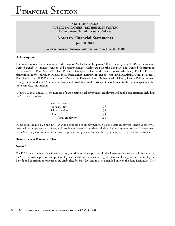### **STATE OF ALASKA PUBLIC EMPLOYEES' RETIREMENT SYSTEM (A Component Unit of the State of Alaska)**

# **Notes to Financial Statements**

**June 30, 2011**

(With summarized financial information from June 30, 2010)

#### **(1) Description**

The following is a brief description of the State of Alaska Public Employees' Retirement System (PERS or the System) Defined Benefit Retirement Pension and Postemployment Healthcare Plan (the DB Plan) and Defined Contribution Retirement Trust Fund (the DCR Plan). PERS is a Component Unit of the State of Alaska (the State). The DB Plan is a plan within the System, which includes the Defined Benefit Retirement Pension Trust Fund and Alaska Retiree Healthcare Trust Fund. The DCR Plan consists of a Participant Directed Fund, Retiree Medical Fund, Health Reimbursement Arrangement Fund, and Occupational Death and Disability Fund. Participants should refer to the System agreement for more complete information.

At June 30, 2011 and 2010, the number of participating local government employers and public organizations including the State was as follows:

| State of Alaska  |     |
|------------------|-----|
| Municipalities   | 77  |
| School districts | 53  |
| Other            | 29  |
| Total employers  | 160 |

Inclusion in the DB Plan and DCR Plan is a condition of employment for eligible State employees, except as otherwise provided for judges, elected officers, and certain employees of the Alaska Marine Highway System. Any local government in the State may elect to have its permanent general and peace officer and firefighter employees covered by the System.

#### **Defined Benefit Retirement Plan**

#### *General*

The DB Plan is a defined benefit, cost-sharing, multiple employer plan within the System established and administered by the State to provide pension and postemployment healthcare benefits for eligible State and local government employees. Benefit and contribution provisions are established by State law and may be amended only by the State Legislature. The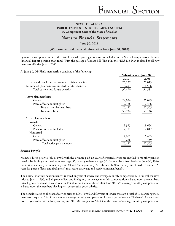## **Notes to Financial Statements**

**June 30, 2011**

(With summarized financial information from June 30, 2010)

System is a component unit of the State financial reporting entity and is included in the State's Comprehensive Annual Financial Report pension trust fund. With the passage of Senate Bill (SB) 141, the PERS DB Plan is closed to all new members effective July 1, 2006.

At June 30, DB Plan's membership consisted of the following:

|                                                         | Valuation as of June 30 |        |  |
|---------------------------------------------------------|-------------------------|--------|--|
|                                                         | 2010                    | 2009   |  |
| Retirees and beneficiaries currently receiving benefits | 26,237                  | 25,015 |  |
| Terminated plan members entitled to future benefits     | 6,253                   | 6,566  |  |
| Total current and future benefits                       | 32,490                  | 31,581 |  |
| Active plan members:                                    |                         |        |  |
| General                                                 | 24,054                  | 25,089 |  |
| Peace officer and firefighter                           | 2,388                   | 2,476  |  |
| Total active plan members                               | 26,442                  | 27,565 |  |
| Total members                                           | 58,932                  | 59,146 |  |
| Active plan members:                                    |                         |        |  |
| Vested:                                                 |                         |        |  |
| General                                                 | 19,375                  | 18,654 |  |
| Peace officer and firefighter                           | 2,102                   | 2,017  |  |
| Nonvested:                                              |                         |        |  |
| General                                                 | 4,679                   | 6,435  |  |
| Peace officer and firefighter                           | 286                     | 459    |  |
| Total active plan members                               | 26,442                  | 27,565 |  |

#### **Pension Benefits**

Members hired prior to July 1, 1986, with five or more paid-up years of credited service are entitled to monthly pension benefits beginning at normal retirement age, 55, or early retirement age, 50. For members first hired after June 30, 1986, the normal and early retirement ages are 60 and 55, respectively. Members with 30 or more years of credited service (20 years for peace officers and firefighters) may retire at any age and receive a normal benefit.

The normal monthly pension benefit is based on years of service and average monthly compensation. For members hired prior to July 1, 1996, and all peace officer and firefighter, the average monthly compensation is based upon the members' three highest, consecutive years' salaries. For all other members hired after June 30, 1996, average monthly compensation is based upon the members' five highest, consecutive years' salaries.

The benefit related to all years of service prior to July 1, 1986 and for years of service through a total of 10 years for general members is equal to 2% of the member's average monthly compensation for each year of service. The benefit for each year over 10 years of service subsequent to June 30, 1986 is equal to 2-1/4% of the member's average monthly compensation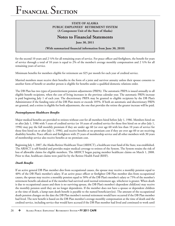## **STATE OF ALASKA PUBLIC EMPLOYEES' RETIREMENT SYSTEM (A Component Unit of the State of Alaska)**

## **Notes to Financial Statements**

**June 30, 2011**

(With summarized financial information from June 30, 2010)

for the second 10 years and 2  $\frac{1}{2}$ % for all remaining years of service. For peace officer and firefighters, the benefit for years of service through a total of 10 years is equal to 2% of the member's average monthly compensation and 2 ½% for all remaining years of service.

Minimum benefits for members eligible for retirement are \$25 per month for each year of credited service.

Married members must receive their benefits in the form of a joint and survivor annuity unless their spouse consents to another form of benefit or another person is eligible for benefits under a qualified domestic relations order.

The DB Plan has two types of postretirement pension adjustments (PRPA). The automatic PRPA is issued annually to all eligible benefit recipients, when the cost of living increases in the previous calendar year. The automatic PRPA increase is paid beginning July 1 of each year. The discretionary PRPA may be granted to eligible recipients by the DB Plan's Administrator if the funding ratio of the DB Plan meets or exceeds 105%. If both an automatic and discretionary PRPA are granted, and a retiree is eligible for both adjustments, the one that provides the retiree the greater increase will be paid.

### **Postemployment Healthcare Benefits**

Major medical benefits are provided to retirees without cost for all members hired before July 1, 1986. Members hired on or after July 1, 1986 with 5 years of credited service (or 10 years of credited service for those first hired on or after July 1, 1996) may pay the full monthly premium if they are under age 60 (or over age 60 with less than 10 years of service for those first hired on or after July 1, 1996), and receive benefits at no premium cost if they are over age 60 or are receiving disability benefits. Peace officers and firefighters with 25 years of membership service and all other members with 30 years of membership service also receive benefits at no premium cost.

Beginning July 1, 2007, the Alaska Retiree Healthcare Trust (ARHCT), a healthcare trust fund of the State, was established. The ARHCT is self-funded and provides major medical coverage to retirees of the System. The System retains the risk of loss of allowable claims for eligible members. The ARHCT began paying member healthcare claims on March 1, 2008. Prior to that, healthcare claims were paid for by the Retiree Health Fund (RHF).

#### *Death Benefits*

If an active general DB Plan member dies from occupational causes, the spouse may receive a monthly pension equal to 40% of the DB Plan's member's salary. If an active peace officer or firefighter DB Plan member dies from occupational causes, the spouse may receive a monthly pension equal to 50% of the DB Plan's member's salary or 75% of the member's retirement benefit calculated as if the member had survived until normal retirement age, whichever is greater. When death is due to occupational causes and there is no surviving spouse, the DB Plan's member's dependent child(ren) may receive the monthly pension until they are no longer dependents. If the member does not have a spouse or dependent children at the time of death, a lump-sum death benefit is payable to the named beneficiary(ies). The amount of the occupational death pension changes on the date the DB Plan member's normal retirement would have occurred if the DB Plan member had lived. The new benefit is based on the DB Plan member's average monthly compensation at the time of death and the credited service, including service that would have accrued if the DB Plan member had lived and continued to work until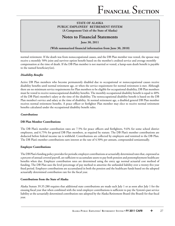## **Notes to Financial Statements**

**June 30, 2011**

(With summarized financial information from June 30, 2010)

normal retirement. If the death was from nonoccupational causes, and the DB Plan member was vested, the spouse may receive a monthly 50% joint and survivor option benefit based on the member's credited service and average monthly compensation at the time of death. If the DB Plan member is not married or vested, a lump-sum death benefit is payable to the named beneficiary(ies).

### *Disability Benefits*

Active DB Plan members who become permanently disabled due to occupational or nonoccupational causes receive disability benefits until normal retirement age, or when the service requirement for normal retirement is met. Although there are no minimum service requirements for Plan members to be eligible for occupational disability, DB Plan members must be vested to receive nonoccupational disability benefits. The monthly occupational disability benefit is equal to 40% of the DB Plan's member's salary at the time of the disability. The nonoccupational disability benefi t is based on the DB Plan member's service and salary at the time of disability. At normal retirement age, a disabled general DB Plan member receives normal retirement benefits. A peace officer or firefighter Plan member may elect to receive normal retirement benefits calculated under the occupational disability benefit rules.

#### *Contributions*

#### **DB Plan Member Contributions**

The DB Plan's member contribution rates are 7.5% for peace officers and firefighters, 9.6% for some school district employees, and 6.75% for general DB Plan members, as required by statute. The DB Plan's member contributions are deducted before federal income tax is withheld. Contributions are collected by employers and remitted to the DB Plan. The DB Plan's member contributions earn interest at the rate of 4.50% per annum, compounded semiannually.

#### **Employer Contributions**

The DB Plan's funding policy provides for periodic employer contributions at actuarially determined rates that, expressed as a percent of annual covered payroll, are sufficient to accumulate assets to pay both pension and postemployment healthcare benefits when due. Employer contribution rates are determined using the entry age normal actuarial cost method of funding. The DB Plan uses the level percentage of pay method to amortize the unfunded liability over a twenty-five year fixed period. Employer contributions are accumulated in both the pension and the healthcare funds based on the adopted actuarially determined contribution rate for the fiscal year.

#### **Contributions from the State of Alaska**

Alaska Statute 39.35.280 requires that additional state contributions are made each July 1 or as soon after July 1 for the ensuing fiscal year that when combined with the total employer contributions is sufficient to pay the System's past service liability at the actuarially determined contribution rate adopted by the Alaska Retirement Board (the Board) for that fiscal year.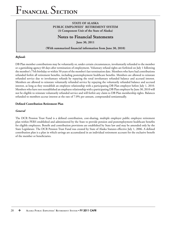### **STATE OF ALASKA PUBLIC EMPLOYEES' RETIREMENT SYSTEM (A Component Unit of the State of Alaska)**

## **Notes to Financial Statements**

**June 30, 2011**

(With summarized financial information from June 30, 2010)

#### *Refunds*

DB Plan member contributions may be voluntarily or, under certain circumstances, involuntarily refunded to the member or a garnishing agency 60 days after termination of employment. Voluntary refund rights are forfeited on July 1 following the member's 75th birthday or within 50 years of the member's last termination date. Members who have had contributions refunded forfeit all retirement benefits, including postemployment healthcare benefits. Members are allowed to reinstate refunded service due to involuntary refunds by repaying the total involuntary refunded balance and accrued interest. Members are allowed to reinstate voluntarily refunded service by repaying the voluntarily refunded balance and accrued interest, as long as they reestablish an employee relationship with a participating DB Plan employer before July 1, 2010. Members who have not reestablished an employee relationship with a participating DB Plan employer by June 30, 2010 will not be eligible to reinstate voluntarily refunded service and will forfeit any claim to DB Plan membership rights. Balances refunded to members accrue interest at the rate of 7.0% per annum, compounded semiannually.

#### **Defined Contribution Retirement Plan**

#### *General*

The DCR Pension Trust Fund is a defined contribution, cost-sharing, multiple employer public employee retirement plan within PERS established and administered by the State to provide pension and postemployment healthcare benefits for eligible employees. Benefit and contribution provisions are established by State law and may be amended only by the State Legislature. The DCR Pension Trust Fund was created by State of Alaska Statutes effective July 1, 2006. A defined contribution plan is a plan in which savings are accumulated in an individual retirement account for the exclusive benefit of the member or beneficiaries.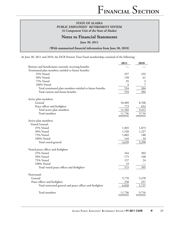## **Notes to Financial Statements**

**June 30, 2011**

(With summarized financial information from June 30, 2010)

At June 30, 2011 and 2010, the DCR Pension Trust Fund membership consisted of the following:

|                                                           | 2011   | 2010                    |
|-----------------------------------------------------------|--------|-------------------------|
| Retirees and beneficiaries currently receiving benefits   |        |                         |
| Terminated plan members entitled to future benefits:      |        |                         |
| 25% Vested                                                | 357    | 233                     |
| 50% Vested                                                | 158    | 61                      |
| 75% Vested                                                | 35     | $\overline{\mathbf{3}}$ |
| 100% Vested                                               | 4      | $\overline{7}$          |
| Total terminated plan members entitled to future benefits | 554    | 304                     |
| Total current and future benefits                         | 554    | 304                     |
| Active plan members:                                      |        |                         |
| General                                                   | 10,409 | 8,760                   |
| Peace officer and firefighter                             | 773    | 652                     |
| Total active plan members                                 | 11,182 | 9,412                   |
| Total members                                             | 11,736 | 9,716                   |
| Active plan members:                                      |        |                         |
| Vested General:                                           |        |                         |
| 25% Vested                                                | 1,965  | 1,873                   |
| 50% Vested                                                | 1,528  | 1,227                   |
| 75% Vested                                                | 1,002  | 180                     |
| 100% Vested                                               | 144    | 10                      |
| Total vested general                                      | 4,639  | 3,290                   |
|                                                           |        |                         |
| Vested peace officer and firefighter                      |        |                         |
| 25% Vested                                                | 164    | 203                     |
| 50% Vested                                                | 175    | 168                     |
| 75% Vested                                                | 157    | 24                      |
| 100% Vested                                               | 19     |                         |
| Total vested peace officer and firefighter                | 515    | <u>395</u>              |
| Nonvested:                                                |        |                         |
| General                                                   | 5,770  | 5,470                   |
| Peace officer and firefighter                             | 258    | 257                     |
| Total nonvested general and peace officer and firefighter | 6,028  | 5,727                   |
|                                                           |        |                         |
| Total members                                             | 11,736 | 9,716                   |
|                                                           |        |                         |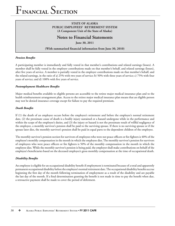## **STATE OF ALASKA PUBLIC EMPLOYEES' RETIREMENT SYSTEM (A Component Unit of the State of Alaska)**

# **Notes to Financial Statements**

**June 30, 2011**

(With summarized financial information from June 30, 2010)

#### **Pension Benefits**

A participating member is immediately and fully vested in that member's contributions and related earnings (losses). A member shall be fully vested in the employer contributions made on that member's behalf, and related earnings (losses), after five years of service. A member is partially vested in the employer contributions made on that member's behalf, and the related earnings, in the ratio of a) 25% with two years of service; b) 50% with three years of service; c) 75% with four years of service; and d) 100% with five years of service.

#### **Postemployment Healthcare Benefits**

Major medical benefits available to eligible persons are accessible to the retiree major medical insurance plan and to the health reimbursement arrangement plan. Access to the retiree major medical insurance plan means that an eligible person may not be denied insurance coverage except for failure to pay the required premium.

#### *Death Benefits*

If (1) the death of an employee occurs before the employee's retirement and before the employee's normal retirement date, (2) the proximate cause of death is a bodily injury sustained or a hazard undergone while in the performance and within the scope of the employee's duties, and (3) the injury or hazard is not the proximate result of willful negligence of the employee, a monthly survivor's pension shall be paid to the surviving spouse. If there is no surviving spouse or if the spouse later dies, the monthly survivor's pension shall be paid in equal parts to the dependent children of the employee.

The monthly survivor's pension section for survivors of employees who were not peace officers or fire fighters is 40% of the employee's monthly compensation in the month in which the employee dies. The monthly survivor's pension for survivors of employees who were peace officers or fire fighters is 50% of the monthly compensation in the month in which the employee dies. While the monthly survivor's pension is being paid, the employer shall make contributions on behalf of the employee's beneficiaries based on the deceased employee's gross monthly compensation at the time of occupational death.

#### *Disability Benefits*

An employee is eligible for an occupational disability benefit if employment is terminated because of a total and apparently permanent occupational disability before the employee's normal retirement date. The occupational disability benefits accrue beginning the first day of the month following termination of employment as a result of the disability and are payable the last day of the month. If a final determination granting the benefit is not made in time to pay the benefit when due, a retroactive payment shall be made to cover the period of deferment.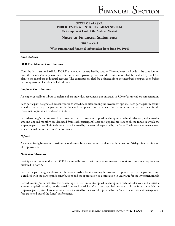# **Notes to Financial Statements**

**June 30, 2011**

(With summarized financial information from June 30, 2010)

#### *Contributions*

#### **DCR Plan Member Contributions**

Contribution rates are 8.0% for DCR Plan members, as required by statute. The employer shall deduct the contribution from the member's compensation at the end of each payroll period, and the contribution shall be credited by the DCR plan to the member's individual account. The contributions shall be deducted from the member's compensation before the computation of applicable federal taxes.

#### **Employer Contributions**

An employer shall contribute to each member's individual account an amount equal to 5.0% of the member's compensation.

Each participant designates how contributions are to be allocated among the investment options. Each participant's account is credited with the participant's contributions and the appreciation or depreciation in unit value for the investment funds. Investment options are disclosed in note 3.

Record-keeping/administrative fees consisting of a fixed amount, applied in a lump sum each calendar year, and a variable amount, applied monthly, are deducted from each participant's account, applied pro rata to all the funds in which the employee participates. This fee is for all costs incurred by the record-keeper and by the State. The investment management fees are netted out of the funds' performance.

#### *Refunds*

A member is eligible to elect distribution of the member's account in accordance with this section 60 days after termination of employment.

#### *Participant Accounts*

Participant accounts under the DCR Plan are self-directed with respect to investment options. Investment options are disclosed in note 3.

Each participant designates how contributions are to be allocated among the investment options. Each participant's account is credited with the participant's contributions and the appreciation or depreciation in unit value for the investment funds.

Record-keeping/administrative fees consisting of a fixed amount, applied in a lump sum each calendar year, and a variable amount, applied monthly, are deducted from each participant's account, applied pro rata to all the funds in which the employee participates. This fee is for all costs incurred by the record-keeper and by the State. The investment management fees are netted out of the funds' performance.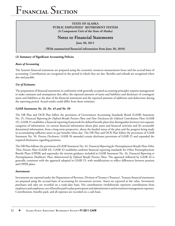## **STATE OF ALASKA PUBLIC EMPLOYEES' RETIREMENT SYSTEM (A Component Unit of the State of Alaska)**

# **Notes to Financial Statements**

**June 30, 2011**

(With summarized financial information from June 30, 2010)

#### (2) Summary of Significant Accounting Policies

### *Basis of Accounting*

The System's financial statements are prepared using the economic resources measurement focus and the accrual basis of accounting. Contributions are recognized in the period in which they are due. Benefits and refunds are recognized when due and payable.

### *Use of Estimates*

The preparation of financial statements in conformity with generally accepted accounting principles requires management to make estimates and assumptions that affect the reported amounts of assets and liabilities and disclosure of contingent assets and liabilities at the date of the financial statements and the reported amounts of additions and deductions during the reporting period. Actual results could differ from those estimates.

### *GASB Statements No. 25, No. 43 and No. 50*

The DB Plan and DCR Plan follow the provisions of Government Accounting Standards Board (GASB) Statement No. 25, Financial Reporting for Defined Benefit Pension Plans and Note Disclosures for Defined Contribution Plans (GASB 25). GASB 25 establishes a financial reporting framework for defined benefit plans that distinguishes between two separate categories of information: (a) current financial information about plan assets and financial activities and (b) actuarially determined information, from a long-term perspective, about the funded status of the plan and the progress being made in accumulating sufficient assets to pay benefits when due. The DB Plan and DCR Plan follow the provisions of GASB Statement No. 50, *Pension Disclosures*. GASB 50 amended certain disclosure provisions of GASB 25 and expanded the required disclosures regarding pensions.

The DB Plan follows the provisions of GASB Statement No. 43, *Financial Reporting for Postemployment Benefi t Plans Other Than Pension Plans* (GASB 43). GASB 43 establishes uniform financial reporting standards for Other Postemployment Benefit Plans (OPEB) and supersedes the interim guidance included in GASB Statement No. 26, *Financial Reporting or* Postemployment Healthcare Plans Administered by Defined Benefit Pension Plans. The approach followed by GASB 43 is generally consistent with the approach adopted in GASB 25, with modifications to reflect differences between pension and OPEB plans.

#### *Investments*

Investments are reported under the Department of Revenue, Division of Treasury (Treasury). Treasury financial statements are prepared using the accrual basis of accounting for investment income. Assets are reported at fair value. Investment purchases and sales are recorded on a trade-date basis. Net contributions (withdrawals) represent contributions from employers and employees, net of benefits paid to plan participants and administrative and investment management expenses. Contributions, benefits paid, and all expenses are recorded on a cash basis.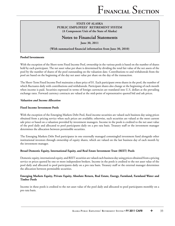## **Notes to Financial Statements**

**June 30, 2011**

#### (With summarized financial information from June 30, 2010)

#### **Pooled Investments**

With the exception of the Short-term Fixed Income Pool, ownership in the various pools is based on the number of shares held by each participant. The net asset value per share is determined by dividing the total fair value of the net assets of the pool by the number of shares of the pool outstanding on the valuation date. Contributions to and withdrawals from the pool are based on the beginning of the day net asset value per share on the day of the transaction.

The Short-Term Fixed Income Pool maintains a share price of \$1. Each participant owns shares in the pool, the number of which fluctuates daily with contributions and withdrawals. Participant shares also change at the beginning of each month when income is paid. Securities expressed in terms of foreign currencies are translated into U.S. dollars at the prevailing exchange rates. Forward currency contracts are valued at the mid-point of representative quoted bid and ask prices.

#### *Valuation and Income Allocation*

#### **Fixed Income Investment Pools**

With the exception of the Emerging Markets Debt Pool, fixed income securities are valued each business day using prices obtained from a pricing service when such prices are available; otherwise, such securities are valued at the most current sale price or based on a valuation provided by investment managers. Income in the pools is credited to the net asset value of the pool daily and allocated to pool participants daily on a pro rata basis. Treasury staff or the investment manager determines the allocation between permissible securities.

The Emerging Markets Debt Pool participates in one externally managed commingled investment fund alongside other institutional investors through ownership of equity shares, which are valued on the last business day of each month by the investment manager.

#### **Broad Domestic Equity, International Equity, and Real Estate Investment Trust (REIT) Pools**

Domestic equity, international equity, and REIT securities are valued each business day using prices obtained from a pricing service or prices quoted by one or more independent brokers. Income in the pools is credited to the net asset value of the pool daily and allocated to pool participants daily on a pro rata basis. Treasury staff or the external manager determines the allocation between permissible securities.

#### **Emerging Markets Equity, Private Equity, Absolute Return, Real Estate, Energy, Farmland, Farmland Water and Timber Pools**

Income in these pools is credited to the net asset value of the pool daily and allocated to pool participants monthly on a pro rata basis.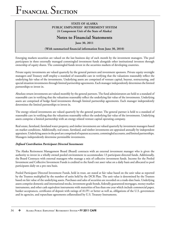### **STATE OF ALASKA PUBLIC EMPLOYEES' RETIREMENT SYSTEM (A Component Unit of the State of Alaska)**

# **Notes to Financial Statements**

**June 30, 2011**

(With summarized financial information from June 30, 2010)

Emerging markets securities are valued on the last business day of each month by the investment managers. The pool participates in three externally managed commingled investment funds alongside other institutional investors through ownership of equity shares. The commingled funds invest in the securities markets of developing countries.

Private equity investments are valued quarterly by the general partners and investment sponsors. Private equity oversight managers and Treasury staff employ a standard of reasonable care in verifying that the valuations reasonably reflect the underlying fair value of the investments. Underlying assets are comprised of venture capital, buyout, restructuring, and special situation investments through limited partnership agreements. Each manager independently determines the limited partnerships to invest in.

Absolute return investments are valued monthly by the general partners. The fund administrators are held to a standard of reasonable care in verifying that the valuations reasonably reflect the underlying fair value of the investments. Underlying assets are comprised of hedge fund investments through limited partnership agreements. Each manager independently determines the limited partnerships to invest in.

The energy related investments are valued quarterly by the general partner. The general partner is held to a standard of reasonable care in verifying that the valuations reasonably reflect the underlying fair value of the investments. Underlying assets comprise a limited partnership with an energy related venture capital operating company.

Real estate, farmland, farmland water property, and timber investments are valued quarterly by investment managers based on market conditions. Additionally, real estate, farmland, and timber investments are appraised annually by independent appraisers. Underlying assets in the pool are comprised of separate accounts, commingled accounts, and limited partnerships. Managers independently determine permissible investments.

#### *Defi ned Contribution Participant Directed Investments*

The Alaska Retirement Management Board (Board) contracts with an external investment manager who is given the authority to invest in a wholly owned pooled environment to accommodate 13 participant-directed funds. Additionally, the Board Contracts with external managers who manage a mix of collective investment funds. Income for the Pooled Investment and Collective Investment Funds is credited to the fund's net asset value on a daily basis and allocated to pool participants daily on a pro rata basis.

Pooled Participant Directed Investment Funds, held in trust, are stated at fair value based on the unit value as reported by the Trustees multiplied by the number of units held by the DCR Plan. The unit value is determined by the Trustees based on fair value of the underlying assets. Purchases and sales of securities are recorded on a trade-date basis. Underlying assets comprise domestic and international stocks, investment grade bonds, federally guaranteed mortgages, money market instruments, and other cash equivalent instruments with maturities of less than one year which include commercial paper, banker acceptances, certificates of deposit with ratings of A1/P1 or better as well as, obligations of the U.S. government and its agencies, and repurchase agreements collateralized by U.S. Treasury Instruments.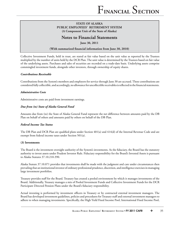## **Notes to Financial Statements**

**June 30, 2011**

(With summarized financial information from June 30, 2010)

Collective Investment Funds, held in trust, are stated at fair value based on the unit value as reported by the Trustees multiplied by the number of units held by the DCR Plan. The unit value is determined by the Trustees based on fair value of the underlying assets. Purchases and sales of securities are recorded on a trade-date basis. Underlying assets comprise commingled investment funds, alongside other investors, through ownership of equity shares.

#### *Contributions Receivable*

Contributions from the System's members and employers for service through June 30 are accrued. These contributions are considered fully collectible, and accordingly, no allowance for uncollectible receivables is reflected in the financial statements.

#### *Administrative Costs*

Administrative costs are paid from investment earnings.

#### *Due from (to) State of Alaska General Fund*

Amounts due from (to) the State of Alaska General Fund represent the net difference between amounts paid by the DB Plan on behalf of others and amounts paid by others on behalf of the DB Plan.

#### *Federal Income Tax Status*

The DB Plan and DCR Plan are qualified plans under Section  $401(a)$  and  $414(d)$  of the Internal Revenue Code and are exempt from federal income taxes under Section 501(a).

#### **(3) Investments**

The Board is the investment oversight authority of the System's investments. As the fiduciary, the Board has the statutory authority to invest assets under Prudent Investor Rule. Fiduciary responsibility for the Board's Invested Assets is pursuant to Alaska Statutes 37.10.210-390.

Alaska Statute 37.10.071 provides that investments shall be made with the judgment and care under circumstances then prevailing that an institutional investor of ordinary professional prudence, discretion, and intelligence exercises in managing large investment portfolios.

Treasury provides staff for the Board. Treasury has created a pooled environment by which it manages investments of the Board. Additionally, Treasury manages a mix of Pooled Investment Funds and Collective Investment Funds for the DCR Participant Directed Pension Plans under the Board's fiduciary responsibility.

Actual investing is performed by investment officers in Treasury or by contracted external investment managers. The Board has developed investment guidelines, policies and procedures for Treasury staff and external investment managers to adhere to when managing investments. Specifically, the High Yield Fixed Income Pool, International Fixed Income Pool,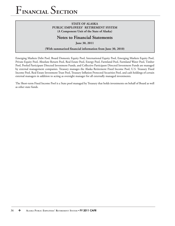### **STATE OF ALASKA PUBLIC EMPLOYEES' RETIREMENT SYSTEM (A Component Unit of the State of Alaska)**

# **Notes to Financial Statements**

**June 30, 2011**

(With summarized financial information from June 30, 2010)

Emerging Markets Debt Pool, Board Domestic Equity Pool, International Equity Pool, Emerging Markets Equity Pool, Private Equity Pool, Absolute Return Pool, Real Estate Pool, Energy Pool, Farmland Pool, Farmland Water Pool, Timber Pool, Pooled Participant Directed Investment Funds, and Collective Participant Directed Investment Funds are managed by external management companies. Treasury manages the Alaska Retirement Fixed Income Pool, U.S. Treasury Fixed Income Pool, Real Estate Investment Trust Pool, Treasury Inflation Protected Securities Pool, and cash holdings of certain external managers in addition to acting as oversight manager for all externally managed investments.

The Short-term Fixed Income Pool is a State pool managed by Treasury that holds investments on behalf of Board as well as other state funds.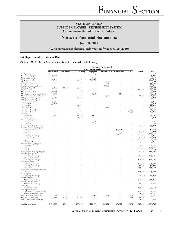# **Notes to Financial Statements**

**June 30, 2011**

#### (With summarized financial information from June 30, 2010)

#### **(4) Deposit and Investment Risk**

At June 30, 2011, the System's investments included the following:

|                                    |                          |                          |                      |                           | Fair value (in thousands) |             |                          |                          |              |
|------------------------------------|--------------------------|--------------------------|----------------------|---------------------------|---------------------------|-------------|--------------------------|--------------------------|--------------|
|                                    |                          |                          |                      | <b>Fixed income pools</b> |                           |             |                          |                          |              |
|                                    | Short-term               | Retirement               | <b>U.S. Treasury</b> | <b>High yield</b>         | <b>International</b>      | Convertible | <b>TIPS</b>              | Other                    | <b>Total</b> |
| Bridge loans                       | \$                       |                          |                      | 413                       |                           |             |                          |                          | 413          |
| Commercial paper                   | 15,904                   |                          |                      |                           |                           |             |                          |                          | 15,904       |
| Convertible bonds                  |                          |                          |                      | 3,413                     |                           |             |                          |                          | 3,413        |
| Corporate bonds                    | 70,351                   |                          | 38,101               | 244,605                   |                           |             |                          | $\overline{\phantom{0}}$ | 353,057      |
| Deposits                           |                          |                          |                      |                           | 1,199                     |             |                          |                          | 1,199        |
| Foreign corporate bonds            |                          |                          |                      |                           | 55,704                    |             |                          |                          | 55,704       |
| Foreign government bonds           |                          |                          |                      |                           | 193,045                   |             |                          |                          | 193,045      |
| Mortgage-backed                    | 3,266                    | 14,385                   | 57,651               |                           |                           |             |                          |                          | 75,302       |
| Mutual funds                       |                          |                          |                      |                           |                           |             |                          | 140,307                  | 140,307      |
| Other asset-backed                 | 70,583                   |                          | 239                  |                           |                           |             |                          |                          | 70,822       |
| Overnight sweep account (Imcs)     | 1,898                    |                          |                      | 13,340                    |                           | 224         |                          |                          | 15,462       |
| Short-term investment fund         |                          |                          |                      |                           | 2,310                     |             |                          | 14,424                   | 16,734       |
| U.S. government agency             | 3,925                    |                          | 10,005               |                           |                           |             |                          |                          | 13,930       |
| U.S. government agency             |                          |                          |                      |                           |                           |             |                          |                          |              |
| discount notes                     | 5,816                    |                          |                      |                           |                           |             |                          |                          | 5,816        |
| Treasury bills                     | 33,252                   |                          |                      |                           |                           |             |                          |                          | 33,252       |
| Treasury bonds                     |                          |                          | 85,944               |                           |                           |             |                          |                          | 85,944       |
| Treasury notes                     | $\overline{\phantom{a}}$ | $\overline{\phantom{0}}$ | 1,029,681            |                           | 7,486                     |             |                          | $\overline{\phantom{0}}$ | 1,037,167    |
| Treasury TIP bonds                 |                          |                          |                      |                           |                           |             | 46,437                   |                          | 46,437       |
| Treasury TIP notes                 |                          |                          |                      |                           |                           |             | 87,936                   |                          | 87,936       |
|                                    |                          |                          |                      |                           |                           |             |                          |                          |              |
| Yankees:                           | 1,389                    |                          | 18,296               | 19,022                    |                           |             |                          |                          | 38,707       |
| Corporate                          |                          |                          |                      |                           |                           |             |                          |                          |              |
| Government                         |                          |                          | 1,069                |                           |                           |             |                          |                          | 1,069        |
| Fixed income pools:                |                          |                          |                      | 326                       |                           |             |                          |                          |              |
| Equity                             |                          |                          |                      |                           |                           |             |                          |                          | 326          |
| Warrants                           |                          |                          |                      | 24                        |                           |             |                          |                          | 24           |
| Emerging markets debt pool         |                          |                          |                      |                           |                           |             |                          | 89,979                   | 89,979       |
| Broad domestic equity pool:        |                          |                          |                      |                           |                           |             |                          |                          |              |
| Convertible bonds                  |                          |                          |                      |                           |                           | 57,469      |                          |                          | 57,469       |
| Deposits                           |                          |                          |                      |                           |                           |             |                          | 17,092                   | 17,092       |
| Equity                             |                          |                          |                      |                           |                           | 7,333       |                          | 3,002,121                | 3,009,454    |
| Limited partnership                |                          |                          |                      |                           |                           |             |                          | 227,931                  | 227,931      |
| Mutual fund                        |                          |                          |                      |                           |                           |             |                          | 42,249                   | 42,249       |
| Options                            |                          |                          |                      |                           |                           |             |                          | (20, 488)                | (20, 488)    |
| Treasury bills                     |                          |                          |                      |                           |                           |             |                          | 3,211                    | 3,211        |
| International equity pool:         |                          |                          |                      |                           |                           |             |                          |                          |              |
| Deposits                           |                          |                          |                      |                           |                           |             |                          | 24,186                   | 24,186       |
| Equity                             |                          |                          |                      |                           |                           |             |                          | 1,870,444                | 1,870,444    |
| Rights                             |                          |                          |                      |                           |                           |             |                          | 132                      | 132          |
| Emerging markets equity pool       |                          |                          |                      |                           |                           |             |                          | 686,497                  | 686,497      |
| Private equity pool:               |                          |                          |                      |                           |                           |             |                          |                          |              |
| Limited partnerships               |                          |                          |                      |                           |                           |             |                          | 1,049,381                | 1,049,381    |
| Absolute return pool:              |                          |                          |                      |                           |                           |             |                          |                          |              |
| Limited partnerships               |                          |                          |                      |                           |                           |             |                          | 504,106                  | 504,106      |
| Real estate pool:                  |                          |                          |                      |                           |                           |             |                          |                          |              |
| Commingled funds                   |                          |                          |                      |                           |                           |             |                          | 176,704                  | 176,704      |
| Limited partnerships               |                          |                          |                      |                           |                           |             | $\overline{\phantom{0}}$ | 254,004                  | 254,004      |
| Real estate                        |                          |                          |                      |                           |                           |             |                          | 485,642                  | 485,642      |
| Real estate investment trust pool: |                          |                          |                      |                           |                           |             |                          |                          |              |
| Equity                             |                          |                          |                      |                           |                           |             |                          | 115,492                  | 115,492      |
| Energy pool:                       |                          |                          |                      |                           |                           |             |                          |                          |              |
| Limited partnerships               |                          |                          |                      |                           |                           |             |                          | 64,050                   | 64,050       |
| Farmland pool:                     |                          |                          |                      |                           |                           |             |                          |                          |              |
| Agricultural holdings              |                          |                          |                      |                           |                           |             |                          | 368,961                  | 368,961      |
| Farmland water pool:               |                          |                          |                      |                           |                           |             |                          |                          |              |
| Agricultural holdings              |                          |                          |                      |                           |                           |             |                          | 13,877                   | 13,877       |
| Timber pool:                       |                          |                          |                      |                           |                           |             |                          |                          |              |
| Timber holdings                    |                          |                          |                      |                           |                           |             |                          | 133,658                  | 133,658      |
| Participant directed:              |                          |                          |                      |                           |                           |             |                          |                          |              |
| Collective investment funds        |                          |                          |                      |                           |                           |             |                          | 124,357                  | 124,357      |
| Pooled investment funds            |                          |                          |                      |                           |                           |             |                          | 48,161                   | 48,161       |
| Net other assets (liabilities)     | 95                       | 118                      | (2,276)              | 3,292                     | 3,918                     | 356         | 914                      | 7,328                    | 13,745       |
| Other pool ownership               | (111, 520)               | 12,961                   | 17,007               |                           |                           |             | 345                      | 81,207                   |              |
| Unallocated deposit in transit     |                          |                          |                      |                           |                           |             | —                        | 1,656                    | 1,656        |
|                                    |                          |                          |                      |                           |                           |             |                          |                          |              |
| Total invested assets              | 94,959<br>\$             | 27,464                   | 1,255,717            | 284,435                   | 263,662                   | 65,382      | 135,632                  | 9,526,669                | 11,653,920   |
|                                    |                          |                          |                      |                           |                           |             |                          |                          |              |

**ALASKA PUBLIC EMPLOYEES' RETIREMENT SYSTEM** • **FY 2011 CAFR** ❖ 37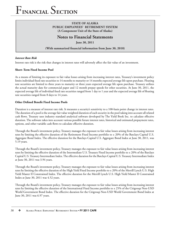## **STATE OF ALASKA PUBLIC EMPLOYEES' RETIREMENT SYSTEM (A Component Unit of the State of Alaska)**

## **Notes to Financial Statements**

**June 30, 2011**

(With summarized financial information from June 30, 2010)

### *Interest Rate Risk*

Interest rate risk is the risk that changes in interest rates will adversely affect the fair value of an investment.

#### **Short–Term Fixed Income Pool**

As a means of limiting its exposure to fair value losses arising from increasing interest rates, Treasury's investment policy limits individual fixed rate securities to 14 months to maturity or 14 months expected average life upon purchase. Floating rate securities are limited to three years to maturity or three years expected average life upon purchase. Treasury utilizes the actual maturity date for commercial paper and 12 month prepay speeds for other securities. At June 30, 2011, the expected average life of individual fixed rate securities ranged from 1 day to 1 year and the expected average life of floating rate securities ranged from 8 days to 14 years.

#### **Other Defined Benefit Fixed Income Pools**

Duration is a measure of interest rate risk. It measures a security's sensitivity to a 100-basis point change in interest rates. The duration of a pool is the average fair value weighted duration of each security in the pool taking into account all related cash flows. Treasury uses industry standard analytical software developed by The Yield Book Inc. to calculate effective duration. The software takes into account various possible future interest rates, historical and estimated prepayment rates, options, and other variable cash flows to calculate effective duration.

Through the Board's investment policy, Treasury manages the exposure to fair value losses arising from increasing interest rates by limiting the effective duration of the Retirement Fixed Income portfolio to  $\pm$  20% of the Barclays Capital U.S. Aggregate Bond Index. The effective duration for the Barclays Capital U.S. Aggregate Bond Index at June 30, 2011, was 5.19 years.

Through the Board's investment policy, Treasury manages the exposure to fair value losses arising from increasing interest rates by limiting the effective duration of the Intermediate U.S. Treasury Fixed Income portfolio to ± 20% of the Barclays Capital U.S. Treasury Intermediate Index. The effective duration for the Barclays Capital U.S. Treasury Intermediate Index at June 30, 2011 was 3.94 years.

Through the Board's investment policy, Treasury manages the exposure to fair value losses arising from increasing interest rates by limiting the effective duration of the High Yield Fixed Income portfolio to ± 20% of the Merrill Lynch U.S. High Yield Master II Constrained Index. The effective duration for the Merrill Lynch U.S. High Yield Master II Constrained Index at June 30, 2011 was 4.52 years.

Through the Board's investment policy, Treasury manages the exposure to fair value losses arising from increasing interest rates by limiting the effective duration of the International Fixed Income portfolio to  $\pm$  25% of the Citigroup Non-USD World Government Bond Index. The effective duration for the Citigroup Non-USD World Government Bond Index at June 30, 2011 was 6.97 years.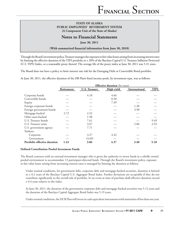## **Notes to Financial Statements**

**June 30, 2011**

(With summarized financial information from June 30, 2010)

Through the Board's investment policy, Treasury manages the exposure to fair value losses arising from increasing interest rates by limiting the effective duration of the TIPS portfolio to  $\pm$  20% of the Barclays Capital U.S. Treasury Inflation-Protected (U.S. TIPS) Index, or a reasonable proxy thereof. The average life of the proxy index at June 30, 2011 was 5.31 years.

The Board does not have a policy to limit interest rate risk for the Emerging Debt or Convertible Bond portfolio.

At June 30, 2011, the effective duration of the DB Plan's fixed income pools, by investment type, was as follows:

|                              | <b>Effective duration</b> (In years) |                      |            |               |             |  |
|------------------------------|--------------------------------------|----------------------|------------|---------------|-------------|--|
|                              | Retirement                           | <b>U.S. Treasury</b> | High yield | International | <b>TIPS</b> |  |
| Corporate bonds              |                                      | 4.18                 | 4.66       |               |             |  |
| Convertible bonds            |                                      |                      | 0.30       |               |             |  |
| Equity                       |                                      |                      | 7.49       |               |             |  |
| Foreign corporate bonds      |                                      |                      |            | 1.30          |             |  |
| Foreign government bonds     |                                      |                      |            | 3.98          |             |  |
| Mortgage-backed              | 2.72                                 | 2.32                 |            |               |             |  |
| Other asset-backed           |                                      | 1.98                 |            |               |             |  |
| U.S. Treasury bonds          |                                      | 7.61                 |            |               | 9.49        |  |
| U.S. Treasury notes          |                                      | 3.67                 |            | 5.86          | 2.92        |  |
| U.S. government agency       |                                      | 7.71                 |            |               |             |  |
| Yankees:                     |                                      |                      |            |               |             |  |
| Corporate                    |                                      | 3.27                 | 4.42       |               |             |  |
| Government                   |                                      | (4.69)               |            |               |             |  |
| Portfolio effective duration | 1.43                                 | 3.86                 | 4.37       | 3.40          | 5.18        |  |

#### **Defined Contribution Pooled Investment Funds**

The Board contracts with an external investment manager who is given the authority to invest funds in a wholly owned pooled environment to accommodate 13 participant-directed funds. Through the Board's investment policy, exposure to fair value losses arising from increasing interest rates is managed by limiting the duration as follows:

Under normal conditions, for government debt, corporate debt and mortgage-backed securities, duration is limited to ± 0.2 years of the Barclays Capital U.S. Aggregate Bond Index. Further deviations are acceptable if they do not contribute significantly to the overall risk of portfolio. In no event at time of purchase shall effective duration exceed ± 0.4 years relative to the index.

At June 30, 2011, the duration of the government corporate debt and mortgage-backed securities was 5.12 years and the duration of the Barclays Capital Aggregate Bond Index was 5.19 years.

Under normal conditions, the DCR Plan will invest in cash equivalent instruments with maturities of less than one year.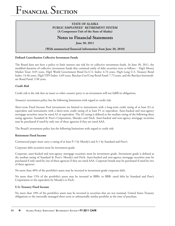### **STATE OF ALASKA PUBLIC EMPLOYEES' RETIREMENT SYSTEM (A Component Unit of the State of Alaska)**

## **Notes to Financial Statements**

**June 30, 2011**

(With summarized financial information from June 30, 2010)

#### **Defined Contribution Collective Investment Funds**

The Board does not have a policy to limit interest rate risk for its collective investment funds. At June 30, 2011, the modified duration of collective investment funds that consisted solely of debt securities were as follows – SSgA Money Market Trust: 0.05 years, SSgA World Government Bond Ex-U.S. Index: 6.76 years, SSgA Long U.S. Treasury Bond Index: 14.46 years, SSgA TIPS Index: 4.69 years, Barclays Gov/Corp Bond Fund: 7.73 years, and the Barclays Intermediate Bond Fund: 3.98 years.

#### *Credit Risk*

Credit risk is the risk that an issuer or other counter party to an investment will not fulfill its obligations.

Treasury's investment policy has the following limitations with regard to credit risk:

Short-term Fixed Income Pool investments are limited to instruments with a long-term credit rating of at least A3 or equivalent and instruments with a short-term credit rating of at least P1 or equivalent. Asset-backed and non-agency mortgage securities must be rated A3 or equivalent. The A3 rating is defined as the median rating of the following three rating agencies: Standard & Poor's Corporation, Moody's and Fitch. Asset-backed and non-agency mortgage securities may be purchased if rated by only one of these agencies if they are rated AAA.

The Board's investment policy has the following limitations with regard to credit risk:

#### **Retirement Fixed Income**

Commercial paper must carry a rating of at least P-1 by Moody's and A-1 by Standard and Poor's.

Corporate debt securities must be investment grade.

Corporate, asset-backed and non-agency mortgage securities must be investment grade. Investment grade is defined as the median rating of Standard & Poor's, Moody's and Fitch. Asset-backed and non-agency mortgage securities may be purchased if only rated by one of these agencies if they are rated AAA. Corporate bonds may be purchased if rated by two of these agencies.

No more than 40% of the portfolio's assets may be invested in investment grade corporate debt.

No more than 15% of the portfolio's assets may be invested in BBB+ to BBB- rated debt by Standard and Poor's Corporation or the equivalent by Moody's or Fitch.

#### **U.S. Treasury Fixed Income**

No more than 10% of the portfolio's assets may be invested in securities that are not nominal, United States Treasury obligations or the internally managed short term or substantially similar portfolio at the time of purchase.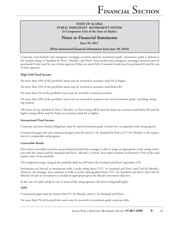# **Notes to Financial Statements**

**June 30, 2011**

### **(With summarized financial information from June 30, 2010)**

Corporate, asset-backed, and nonagency mortgage securities must be investment grade. Investment grade is defined as the median rating of Standard & Poor's, Moody's, and Fitch. Asset-backed and nonagency mortgage securities may be purchased if only rated by one of these agencies if they are rated AAA. Corporate bonds may be purchased if rated by two of these agencies.

#### **High Yield Fixed Income**

No more than 10% of the portfolio's assets may be invested in securities rated A3 or higher.

No more than 25% of the portfolio's assets may be invested in securities rated below B3.

No more than 5% of the portfolio's assets may be invested in unrated securities.

No more than 10% of the portfolio's assets may be invested in countries not rated investment grade, including emerging markets.

The lower of any Standard & Poor's, Moody's, or Fitch rating will be used for limits on securities rated below B3 and the higher rating will be used for limits on securities rated A3 or higher.

#### **International Fixed Income**

Corporate and asset-backed obligations must be rated investment grade or better by a recognized credit rating agency.

Commercial paper and euro commercial paper must be rated A-1 by Standard & Poor's or P-1 by Moody's or the equivalent of a comparable rating agency.

#### **Convertible Bonds**

Non-rated convertible securities are permitted provided the manager is able to assign an appropriate credit rating consistent with the criteria used by Standard and Poor's, Moody's, or Fitch. Non-rated securities are limited to 35% of the total market value of the portfolio.

The weighted average rating of the portfolio shall not fall below the Standard and Poor's equivalent of B.

Investments are limited to instruments with a credit rating above CCC- by Standard and Poor's and Caa3 by Moody's. However, the manager may continue to hold securities downgraded below CCC- by Standard and Poor's and Caa3 by Moody's if such an investment is considered appropriate given the Board's investment objective.

In the case of a split rating by two or more of the rating agencies, the lower rating shall apply.

#### **TIPS**

Commercial paper must be rated at least P-1 by Moody's and A-1 by Standard and Poor's.

No more than 5% of the portfolio's assets may be invested in investment grade corporate debt.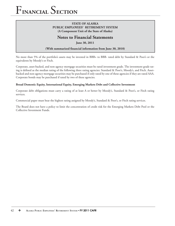### **STATE OF ALASKA PUBLIC EMPLOYEES' RETIREMENT SYSTEM (A Component Unit of the State of Alaska)**

# **Notes to Financial Statements**

**June 30, 2011**

#### (With summarized financial information from June 30, 2010)

No more than 5% of the portfolio's assets may be invested in BBB+ to BBB- rated debt by Standard & Poor's or the equivalents by Moody's or Fitch.

Corporate, asset-backed, and non-agency mortgage securities must be rated investment grade. The investment grade rating is defined as the median rating of the following three rating agencies: Standard & Poor's, Moody's, and Fitch. Assetbacked and non-agency mortgage securities may be purchased if only rated by one of these agencies if they are rated AAA. Corporate bonds may be purchased if rated by two of these agencies.

#### **Broad Domestic Equity, International Equity, Emerging Markets Debt and Collective Investment**

Corporate debt obligations must carry a rating of at least A or better by Moody's, Standard & Poor's, or Fitch rating services.

Commercial paper must bear the highest rating assigned by Moody's, Standard & Poor's, or Fitch rating services.

The Board does not have a policy to limit the concentration of credit risk for the Emerging Markets Debt Pool or the Collective Investment Funds.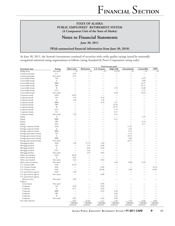## **Notes to Financial Statements**

**June 30, 2011**

(With summarized financial information from June 30, 2010)

At June 30, 2011, the System's investments consisted of securities with credit quality ratings issued by nationally recognized statistical rating organizations as follows (using Standard & Poor's Corporation rating scale):

|                          |                  |                          |                          |                          | <b>Fixed income pools</b>                                                                                                                                                                                                      |                          |                          |                          |
|--------------------------|------------------|--------------------------|--------------------------|--------------------------|--------------------------------------------------------------------------------------------------------------------------------------------------------------------------------------------------------------------------------|--------------------------|--------------------------|--------------------------|
| Investment type          | Rating           | Short-term               | Retirement               | <b>U.S. Treasury</b>     | High yield                                                                                                                                                                                                                     | International            | Convertible              | <b>TIPS</b>              |
| Bridge loans             | Not rated        | $-$ %                    | $-$ %                    | $-$ %                    | 0.15%                                                                                                                                                                                                                          | $-$ %                    | $-$ %                    | $-$ %                    |
| Commercial paper         | $A-1$            | 6.95                     | $\overline{\phantom{0}}$ | $\overline{\phantom{0}}$ | $\overline{\phantom{0}}$                                                                                                                                                                                                       | $\overline{\phantom{0}}$ |                          | $\overline{\phantom{0}}$ |
| Commercial paper         | Not rated        | 0.75                     |                          |                          |                                                                                                                                                                                                                                |                          |                          |                          |
| Convertible bonds        | AA               | $\overline{\phantom{0}}$ |                          |                          | -                                                                                                                                                                                                                              | $\overline{\phantom{0}}$ | 0.93                     |                          |
| Convertible bonds        | A                |                          |                          |                          | L.                                                                                                                                                                                                                             | $\overline{\phantom{0}}$ | 9.89                     |                          |
| Convertible bonds        | <b>BBB</b>       |                          |                          |                          | L.                                                                                                                                                                                                                             | $\overline{\phantom{0}}$ | 14.79                    |                          |
| Convertible bonds        | <b>BB</b>        |                          |                          |                          | L.                                                                                                                                                                                                                             | $\overline{\phantom{0}}$ | 19.72                    |                          |
| Convertible bonds        | $\mathbf{B}$     |                          |                          |                          | 0.76                                                                                                                                                                                                                           |                          | 13.80                    |                          |
| Convertible bonds        | CCC              |                          |                          |                          |                                                                                                                                                                                                                                | $\overline{\phantom{0}}$ | 5.73                     |                          |
| Convertible bonds        | Not rated        | $\overline{\phantom{0}}$ |                          |                          | 0.44                                                                                                                                                                                                                           |                          | 23.03                    |                          |
| Corporate bonds          | AAA              | 23.65                    |                          |                          |                                                                                                                                                                                                                                |                          |                          |                          |
| Corporate bonds          | AA               | 1.45                     |                          | 0.70                     |                                                                                                                                                                                                                                |                          |                          |                          |
| Corporate bonds          | А                | 3.20                     | $\overline{\phantom{0}}$ | 1.39                     | $\overline{\phantom{0}}$                                                                                                                                                                                                       | $\overline{\phantom{0}}$ | $\overline{\phantom{a}}$ |                          |
|                          | <b>BBB</b>       |                          |                          | 0.95                     | 3.51                                                                                                                                                                                                                           | $\overline{\phantom{a}}$ |                          |                          |
| Corporate bonds          | <b>BB</b>        |                          |                          |                          |                                                                                                                                                                                                                                |                          |                          |                          |
| Corporate bonds          | $\, {\bf B}$     |                          |                          |                          | 33.36                                                                                                                                                                                                                          |                          |                          |                          |
| Corporate bonds          | CCC              |                          |                          |                          | 39.72                                                                                                                                                                                                                          |                          |                          |                          |
| Corporate bonds          |                  |                          |                          |                          | 5.74                                                                                                                                                                                                                           |                          |                          |                          |
| Corporate bonds          | CC               |                          |                          |                          | 0.17                                                                                                                                                                                                                           |                          |                          |                          |
| Corporate bonds          | Not rated        | 5.78                     |                          |                          | 3.51                                                                                                                                                                                                                           |                          |                          |                          |
| Equity                   | A                |                          |                          |                          |                                                                                                                                                                                                                                |                          | 1.94                     |                          |
| Equity                   | <b>BBB</b>       |                          |                          |                          | 0.11                                                                                                                                                                                                                           |                          | $\overline{\phantom{0}}$ |                          |
| Equity                   | <b>BB</b>        |                          |                          |                          | $\overline{\phantom{a}}$                                                                                                                                                                                                       | $\overline{\phantom{0}}$ | 6.16                     |                          |
| Equity                   | CCC              |                          |                          |                          |                                                                                                                                                                                                                                | $\overline{\phantom{0}}$ | 3.11                     |                          |
| Foreign corporate bonds  | AAA              | $\overline{\phantom{a}}$ |                          |                          |                                                                                                                                                                                                                                | 17.87                    |                          |                          |
| Foreign corporate bonds  | A                |                          |                          |                          |                                                                                                                                                                                                                                | 2.52                     |                          |                          |
| Foreign corporate bonds  | <b>BBB</b>       |                          |                          |                          |                                                                                                                                                                                                                                | 0.74                     |                          |                          |
| Foreign government bonds | AA               |                          |                          |                          | $\overline{\phantom{0}}$                                                                                                                                                                                                       | 4.12                     |                          |                          |
| Foreign government bonds | A                |                          |                          |                          |                                                                                                                                                                                                                                | 18.74                    |                          |                          |
| Foreign government bonds | <b>BBB</b>       |                          |                          |                          | $\overline{\phantom{0}}$                                                                                                                                                                                                       | 5.85                     |                          |                          |
| Foreign government bonds | Not rated        |                          |                          |                          |                                                                                                                                                                                                                                | 44.51                    |                          |                          |
| Mortgage-backed          | AAA              | 1.58                     | 37.74                    | 3.56                     | $\overline{\phantom{0}}$                                                                                                                                                                                                       | $\overline{\phantom{0}}$ | $\overline{\phantom{0}}$ |                          |
| Mortgage-backed          | AA               | $\overline{\phantom{0}}$ | 1.41                     | 0.08                     |                                                                                                                                                                                                                                | $\overline{\phantom{0}}$ | $\overline{\phantom{0}}$ |                          |
| Mortgage-backed          | A                |                          | 4.42                     | 0.10                     | $\overline{\phantom{a}}$                                                                                                                                                                                                       |                          |                          |                          |
| Mortgage-backed          | CCC              |                          | 5.26                     | $\overline{\phantom{0}}$ | and the contract of the contract of the contract of the contract of the contract of the contract of the contract of the contract of the contract of the contract of the contract of the contract of the contract of the contra |                          |                          |                          |
| Mortgage-backed          | Not rated        |                          | 3.55                     | 0.85                     |                                                                                                                                                                                                                                |                          |                          |                          |
| Other asset-backed       | <b>AAA</b>       | 30.49                    |                          |                          |                                                                                                                                                                                                                                |                          |                          |                          |
| Other asset-backed       | $\boldsymbol{A}$ | 0.07                     |                          |                          | -                                                                                                                                                                                                                              |                          |                          |                          |
| Other asset-backed       | Not rated        | 3.62                     |                          | 0.02                     |                                                                                                                                                                                                                                |                          |                          |                          |
| Short-term investment    | Not rated        | $\overline{\phantom{a}}$ |                          |                          | 4.69                                                                                                                                                                                                                           | 0.88                     | 0.34                     |                          |
| U.S. Treasury bills      | AAA              | 16.10                    |                          |                          |                                                                                                                                                                                                                                |                          |                          |                          |
| U.S. Treasury bonds      | AAA              |                          |                          | 6.84                     |                                                                                                                                                                                                                                |                          |                          | 34.24                    |
| U.S. Treasury notes      | AAA              | $\overline{\phantom{0}}$ |                          | 82.00                    | $\overline{\phantom{0}}$                                                                                                                                                                                                       | 2.84                     |                          | 64.83                    |
| U.S. government agency   | AAA              | 1.90                     |                          |                          |                                                                                                                                                                                                                                |                          |                          |                          |
| U.S. government agency   | Not rated        |                          |                          | 0.80                     |                                                                                                                                                                                                                                |                          |                          |                          |
| U.S. government agency   |                  |                          |                          |                          |                                                                                                                                                                                                                                |                          |                          |                          |
| discount notes           | Not rated        | 2.82                     |                          |                          |                                                                                                                                                                                                                                |                          |                          |                          |
| Yankees:                 |                  |                          |                          |                          |                                                                                                                                                                                                                                |                          |                          |                          |
| Government               | Not rated        |                          |                          | 0.09                     |                                                                                                                                                                                                                                |                          |                          |                          |
| Corporate                | AA               | 0.49                     | -                        | 0.56                     | $\overline{\phantom{0}}$                                                                                                                                                                                                       | $\overline{\phantom{a}}$ | $\overline{\phantom{a}}$ |                          |
| Corporate                | A                | 0.11                     |                          | 0.50                     | $\overline{\phantom{0}}$                                                                                                                                                                                                       | $\overline{\phantom{0}}$ |                          |                          |
| Corporate                | <b>BBB</b>       |                          |                          | 0.23                     | 0.36                                                                                                                                                                                                                           |                          |                          |                          |
| Corporate                | BB               |                          |                          | $\overline{\phantom{0}}$ | 2.60                                                                                                                                                                                                                           |                          |                          |                          |
| Corporate                | B                |                          |                          | $\overline{\phantom{0}}$ | 3.22                                                                                                                                                                                                                           |                          |                          |                          |
| Corporate                | Not rated        | 0.07                     |                          | 0.16                     | 0.50                                                                                                                                                                                                                           |                          |                          | $\overline{\phantom{0}}$ |
| No credit exposure       |                  | 0.97                     | 47.62                    | 1.17                     | 1.16                                                                                                                                                                                                                           | 1.93                     | 0.56                     | 0.93                     |
|                          |                  | 100.00%                  | 100.00%                  | 100.00%                  | 100.00%                                                                                                                                                                                                                        | 100.00%                  | 100.00%                  | 100.00%                  |
|                          |                  |                          |                          | $=$                      |                                                                                                                                                                                                                                |                          |                          |                          |

**ALASKA PUBLIC EMPLOYEES' RETIREMENT SYSTEM** • **FY 2011 CAFR** ❖ 43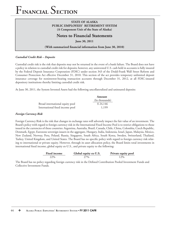## **STATE OF ALASKA PUBLIC EMPLOYEES' RETIREMENT SYSTEM (A Component Unit of the State of Alaska)**

## **Notes to Financial Statements**

**June 30, 2011**

#### (With summarized financial information from June 30, 2010)

#### *Custodial Credit Risk – Deposits*

Custodial credit risk is the risk that deposits may not be returned in the event of a bank failure. The Board does not have a policy in relation to custodial credit risk for deposits; however, any uninvested U.S. cash held in accounts is fully insured by the Federal Deposit Insurance Corporation (FDIC) under section 343 of the Dodd-Frank Wall Street Reform and Consumer Protection Act effective December 31, 2010. This section of the act provides temporary unlimited deposit insurance coverage for noninterest-bearing transaction accounts through December 31, 2012, at all FDIC-insured depository institutions thereby limiting custodial credit risk.

At June 30, 2011, the System Invested Assets had the following uncollateralized and uninsured deposits:

|                                 | Amount         |
|---------------------------------|----------------|
|                                 | (In thousands) |
| Broad international equity pool | \$24,146       |
| International fixed income pool | 1,199          |

#### *Foreign Currency Risk*

Foreign Currency Risk is the risk that changes in exchange rates will adversely impact the fair value of an investment. The Board's policy with regard to foreign currency risk in the International Fixed Income Pool is to restrict obligations to those issued in the currencies of these countries: Argentina, Australia, Brazil, Canada, Chile, China, Colombia, Czech Republic, Denmark, Egypt, Eurozone sovereign issuers in the aggregate, Hungary, India, Indonesia, Israel, Japan, Malaysia, Mexico, New Zealand, Norway, Peru, Poland, Russia, Singapore, South Africa, South Korea, Sweden, Switzerland, Thailand, Turkey, United Kingdom, and United States. The Board has no specific policy with regard to foreign currency risk relating to international or private equity. However, through its asset allocation policy, the Board limits total investments in international fixed income, global equity ex-U.S., and private equity to the following:

| $T^{\prime\prime}$<br>Fixed income | Global equity ex-U.S. | Private equity pool |
|------------------------------------|-----------------------|---------------------|
| 22%                                | $77\%$                | $2\%$               |

The Board has no policy regarding foreign currency risk in the Defined Contribution Pooled Investment Funds and Collective Investment Funds.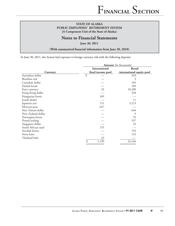# **Notes to Financial Statements**

**June 30, 2011**

(With summarized financial information from June 30, 2010)

At June 30, 2011, the System had exposure to foreign currency risk with the following deposits:

|                    | <b>Amount</b> (In thousands) |                           |  |  |  |
|--------------------|------------------------------|---------------------------|--|--|--|
|                    | <b>International</b>         | <b>Broad</b>              |  |  |  |
| Currency           | fixed income pool            | international equity pool |  |  |  |
| Australian dollar  | \$                           | 310                       |  |  |  |
| Brazilian real     |                              | 3                         |  |  |  |
| Canadian dollar    |                              | 183                       |  |  |  |
| Danish krone       |                              | 189                       |  |  |  |
| Euro currency      | 32                           | 18,280                    |  |  |  |
| Hong Kong dollar   |                              | 358                       |  |  |  |
| Hungarian fornit   | 189                          |                           |  |  |  |
| Israeli shekel     |                              | 11                        |  |  |  |
| Japanese yen       | 151                          | 3,213                     |  |  |  |
| Mexican peso       | 647                          |                           |  |  |  |
| New Taiwan dollar  |                              | 644                       |  |  |  |
| New Zealand dollar |                              | 9                         |  |  |  |
| Norwegian krone    |                              | 53                        |  |  |  |
| Pound sterling     |                              | 537                       |  |  |  |
| Singapore dollar   |                              | 32                        |  |  |  |
| South African rand | 155                          |                           |  |  |  |
| Swedish krona      |                              | 192                       |  |  |  |
| Swiss franc        |                              | 132                       |  |  |  |
| Thailand baht      | 25                           |                           |  |  |  |
|                    | \$<br>1,199                  | 24,146                    |  |  |  |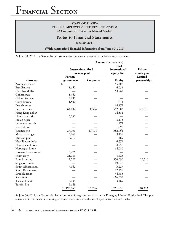## **STATE OF ALASKA PUBLIC EMPLOYEES' RETIREMENT SYSTEM (A Component Unit of the State of Alaska)**

## **Notes to Financial Statements**

**June 30, 2011**

(With summarized financial information from June 30, 2010)

At June 30, 2011, the System had exposure to foreign currency risk with the following investments:

|                      | <b>Amount</b> (In thousands) |           |               |              |  |  |
|----------------------|------------------------------|-----------|---------------|--------------|--|--|
|                      |                              |           | <b>Broad</b>  |              |  |  |
|                      | <b>International</b> fixed   |           | international | Private      |  |  |
|                      | income pool                  |           | equity Pool   | equity pool  |  |  |
|                      | Foreign                      |           |               | Limited      |  |  |
| Currency             | government                   | Corporate | Equity        | partnerships |  |  |
| Australian dollar    | \$                           |           | 55,507        |              |  |  |
| Brazilian real       | 11,652                       |           | 6,051         |              |  |  |
| Canadian dollar      |                              |           | 63,762        |              |  |  |
| Chilean peso         | 1,462                        |           |               |              |  |  |
| Colombian peso       | 5,295                        |           |               |              |  |  |
| Czech koruna         | 1,502                        |           | 811           |              |  |  |
| Danish krone         |                              |           | 14,177        |              |  |  |
| Euro currency        | 64,402                       | 8,596     | 562,503       | 120,813      |  |  |
| Hong Kong dollar     |                              |           | 64,531        |              |  |  |
| Hungarian forint     | 6,356                        |           |               |              |  |  |
| Indian rupee         |                              |           | 3,175         |              |  |  |
| Indonesian rupah     |                              |           | 1,472         |              |  |  |
| Israeli shekel       |                              |           | 1,795         |              |  |  |
| Japanese yen         | 27,701                       | 47,108    | 382,961       |              |  |  |
| Malaysian ringgit    | 5,262                        |           | 3,158         |              |  |  |
| Mexican peso         | 17,010                       |           | 469           |              |  |  |
| New Taiwan dollar    |                              |           | 6,374         |              |  |  |
| New Zealand dollar   |                              |           | 8,955         |              |  |  |
| Norwegian krone      |                              |           | 14,080        |              |  |  |
| Peruvian Nouveau sol | 3,776                        |           |               |              |  |  |
| Polish zloty         | 21,051                       |           | 5,423         |              |  |  |
| Pound sterling       | 12,727                       |           | 356,690       | 19,510       |  |  |
| Singapore dollar     |                              |           | 19,846        |              |  |  |
| South African rand   | 7,162                        |           | 3,227         |              |  |  |
| South Korean won     |                              |           | 32,798        |              |  |  |
| Swedish krona        |                              |           | 34,683        |              |  |  |
| Swiss franc          |                              |           | 116,039       |              |  |  |
| Thailand baht        | 2,038                        |           | 3,469         |              |  |  |
| Turkish lira         | 5,649                        |           |               |              |  |  |
|                      | \$<br>193,045                | 55,704    | 1,761,956     | 140,323      |  |  |

At June 30, 2011, the System also had exposure to foreign currency risk in the Emerging Markets Equity Pool. This pool consists of investments in commingled funds; therefore no disclosure of specific currencies is made.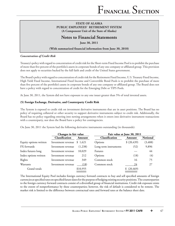## **Notes to Financial Statements**

**June 30, 2011**

#### (With summarized financial information from June 30, 2010)

#### *Concentration of Credit Risk*

Treasury's policy with regard to concentration of credit risk for the Short-term Fixed Income Pool is to prohibit the purchase of more than five percent of the portfolio's assets in corporate bonds of any one company or affiliated group. This provision does not apply to securities backed by the full faith and credit of the United States government.

The Board's policy with regard to concentration of credit risk for the Retirement Fixed Income, U.S. Treasury Fixed Income, High Yield Fixed Income, International Fixed Income and Convertible Bond Pools is to prohibit the purchase of more than five percent of the portfolio's assets in corporate bonds of any one company or affiliated group. The Board does not have a policy with regard to concentration of credit for the Emerging Debt or TIPS Pools.

At June 30, 2011, the System did not have exposure to any one issuer greater than 5% of total invested assets.

#### **(5) Foreign Exchange, Derivative, and Counterparty Credit Risk**

The System is exposed to credit risk on investment derivative instruments that are in asset positions. The Board has no policy of requiring collateral or other security to support derivative instruments subject to credit risk. Additionally, the Board has no policy regarding entering into netting arrangements when it enters into derivative instrument transactions with a counterparty, nor does the Board have a policy for contingencies.

On June 30, 2011 the System had the following derivative instruments outstanding (in thousands):

|                        | Changes in fair value |          | Fair value at June 30, 2011 |              |                 |
|------------------------|-----------------------|----------|-----------------------------|--------------|-----------------|
|                        | Classification        | Amount   | Classification              | Amount       | <b>Notional</b> |
| Equity options written | Investment revenue    | \$1,621  | Options                     | \$ (20, 439) | (3, 488)        |
| FX forwards            | Investment revenue    | (1,238)  | Long term instruments       | (52)         | 9,896           |
| Index futures long     | Investment revenue    | 10,029   | Futures                     |              | 44              |
| Index options written  | Investment revenue    | 212      | Options                     | (18)         | (4)             |
| Rights                 | Investment revenue    | 349      | Common stock                | 16           | 75              |
| Warrants               | Investment revenue    | (18)     | Common stock                | 24           | 27              |
| Grand totals           |                       | \$10,955 |                             | (20, 469)    |                 |

The International Equity Pool includes foreign currency forward contracts to buy and sell specified amounts of foreign currencies at specified rates on specified future dates for the purpose of hedging existing security positions. The counterparties to the foreign currency forward contracts consist of a diversified group of financial institutions. Credit risk exposure exists to the extent of nonperformance by these counterparties; however, the risk of default is considered to be remote. The market risk is limited to the difference between contractual rates and forward rates at the balance sheet date.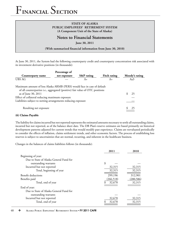## **STATE OF ALASKA PUBLIC EMPLOYEES' RETIREMENT SYSTEM (A Component Unit of the State of Alaska)**

## **Notes to Financial Statements**

**June 30, 2011**

(With summarized financial information from June 30, 2010)

At June 30, 2011, the System had the following counterparty credit and counterparty concentration risk associated with its investment derivative positions (in thousands):

|                                                                                                                                                          | Percentage of |                       |                     |                |
|----------------------------------------------------------------------------------------------------------------------------------------------------------|---------------|-----------------------|---------------------|----------------|
| Counterparty name                                                                                                                                        | net exposure  | <b>S&amp;P</b> rating | <b>Fitch rating</b> | Moody's rating |
| UBS AG                                                                                                                                                   |               | A+                    | A+                  | Aa3            |
| Maximum amount of loss Alaska ARMB (PERS) would face in case of default<br>of all counterparties i.e., aggregated (positive) fair value of OTC positions |               |                       |                     |                |
| as of June 30, 2011                                                                                                                                      |               |                       |                     | 25             |
| Effect of collateral reducing maximum exposure                                                                                                           |               |                       |                     |                |
| Liabilities subject to netting arrangements reducing exposure                                                                                            |               |                       |                     |                |
| Resulting net exposure                                                                                                                                   |               |                       |                     | 25             |

## **(6) Claims Payable**

The liability for claims incurred but not reported represents the estimated amounts necessary to settle all outstanding claims, incurred but not reported, as of the balance sheet date. The DB Plan's reserve estimates are based primarily on historical development patterns adjusted for current trends that would modify past experience. Claims are reevaluated periodically to consider the effects of inflation, claims settlement trends, and other economic factors. The process of establishing loss reserves is subject to uncertainties that are normal, recurring, and inherent in the healthcare business.

Changes in the balances of claims liabilities follows (in thousands):

|                                         | 2011       | 2010       |
|-----------------------------------------|------------|------------|
| Beginning of year:                      |            |            |
| Due to State of Alaska General Fund for |            |            |
| outstanding warrants                    | \$         |            |
| Incurred but not reported               | 32,315     | 32,315     |
| Total, beginning of year                | 32,315     | 32,315     |
| Benefit deductions                      | 299,196    | 312,901    |
| Benefits paid                           | (266, 518) | (280, 586) |
| Total, end of year                      | 32,678     | 32,315     |
| End of year:                            |            |            |
| Due to State of Alaska General Fund for |            |            |
| outstanding warrants                    |            |            |
| Incurred but not reported               | 32,678     | 32,315     |
| Total, end of year                      | 32,678     | 32,315     |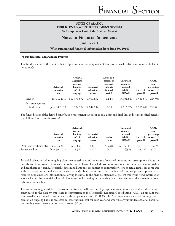## **Notes to Financial Statements**

**June 30, 2011**

(With summarized financial information from June 30, 2010)

#### **(7) Funded Status and Funding Progress**

The funded status of the defined benefit pension and postemployment healthcare benefit plan is as follows (dollars in thousands):

|                               | <b>Actuarial</b><br>valuation<br>date | <b>Actuarial</b><br>aggregate<br>accrued<br>liability<br>$(AAL)$ –<br>entry age | <b>Actuarial</b><br>valuation<br>assets | Assets as a<br>percent of<br>accrued<br>liability<br>(funded<br>ratio) | <b>Unfunded</b><br>actuarial<br>accrued<br>liability<br>(UAAL) | Covered<br>payroll | <b>UAAL</b><br>as a<br>percentage<br>of covered<br>payroll |
|-------------------------------|---------------------------------------|---------------------------------------------------------------------------------|-----------------------------------------|------------------------------------------------------------------------|----------------------------------------------------------------|--------------------|------------------------------------------------------------|
| Pension                       | June 30, 2010                         | \$10,371,672                                                                    | 6,469,832                               | 62.4%                                                                  | \$3,901,840                                                    | 1,586,697          | 245.9%                                                     |
| Post employment<br>healthcare | June 30, 2010                         | 9,304,504                                                                       | 4,687,632                               | 50.4                                                                   | 4,616,872                                                      | 1,586,697          | 291.0                                                      |

The funded status of the defined contribution retirement plan occupational death and disability and retiree medical benefits is as follows (dollars in thousands):

|                                         | <b>Actuarial</b><br>valuation<br>date | <b>Actuarial</b><br>accrued<br>liability<br>$(AAL)$ –<br>entry age | <b>Actuarial</b><br>valuation<br>assets | <b>Funded</b><br>ratio | Unfunded<br>actuarial<br>accrued<br>liability<br>(UAAL) | Covered<br>payroll | <b>UAAL</b><br>as a<br>percentage<br>of covered<br>payroll |
|-----------------------------------------|---------------------------------------|--------------------------------------------------------------------|-----------------------------------------|------------------------|---------------------------------------------------------|--------------------|------------------------------------------------------------|
| Death and disability plan June 30, 2010 |                                       | 853                                                                | 4,801                                   | 562.8%                 | (3,948)                                                 | 421,187            | (0.9)%                                                     |
| Retiree medical                         | June 30, 2010                         | 8,370                                                              | 8,767                                   | 104.7                  | (397)                                                   | 421,187            | (0.1)                                                      |

Actuarial valuations of an ongoing plan involve estimates of the value of reported amounts and assumptions about the probability of occurrence of events far into the future. Examples include assumptions about future employment, mortality, and healthcare cost trend. Actuarially determined amounts are subject to continual revisions as actual results are compared with past expectations and new estimates are made about the future. The schedules of funding progress, presented as required supplementary information following the notes to the financial statements, present multiyear trend information about whether the actuarial values of plan assets are increasing or decreasing over time relative to the actuarial accrued liabilities for benefits.

The accompanying schedules of contributions (unaudited) from employers present trend information about the amounts contributed to the plan by employers in comparison to the Actuarially Required Contribution (ARC), an amount that is actuarially determined in accordance with the parameters of GASB 43. The ARC represents a level of funding that, if paid on an ongoing basis, is projected to cover normal cost for each year and amortize any unfunded actuarial liabilities (or funding excess) over a period not to exceed 30 years.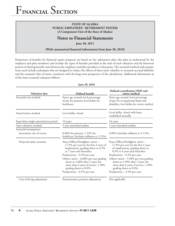### **STATE OF ALASKA PUBLIC EMPLOYEES' RETIREMENT SYSTEM (A Component Unit of the State of Alaska)**

## **Notes to Financial Statements**

**June 30, 2011**

(With summarized financial information from June 30, 2010)

Projections of benefits for financial report purposes are based on the substantive plan (the plan as understood by the employer and plan members) and include the types of benefits provided at the time of each valuation and the historical pattern of sharing benefit costs between the employer and plan members to that point. The actuarial method and assumptions used include techniques that are designed to reduce the effects of short-term volatility in actuarial accrued liabilities and the actuarial value of assets, consistent with the long-term perspective of the calculations. Additional information as of the latest actuarial valuation follows:

| <b>Valuation</b> date                 | Defined benefit                                                                                                                                 | Defined contribution ODD and<br>retiree medical                                                                                                 |
|---------------------------------------|-------------------------------------------------------------------------------------------------------------------------------------------------|-------------------------------------------------------------------------------------------------------------------------------------------------|
| Actuarial cost method                 | Entry age normal; level percentage<br>of pay for pension; level dollar for<br>healthcare                                                        | Entry age normal; level percentage<br>of pay for occupational death and<br>disability; level dollar for retiree medical                         |
| Amortization method                   | Level dollar, closed                                                                                                                            | Level dollar, closed with bases<br>established annually                                                                                         |
| Equivalent single amortization period | 19 years                                                                                                                                        | 24 years                                                                                                                                        |
| Asset valuation method                | 5 year smoothed market                                                                                                                          | 5 year smoothed market                                                                                                                          |
| Actuarial assumptions:                |                                                                                                                                                 |                                                                                                                                                 |
| Investment rate of return             | 8.00% for pension, 7.23% for<br>healthcare (includes inflation at 3.12%)                                                                        | 8.00% (includes inflation at 3.12%)                                                                                                             |
| Projected salary increases            | Peace Officer/Firefighter: merit -<br>2.75% per year for the first 4 years of<br>employment, grading down to 0.5%<br>at 7 years and thereafter. | Peace Officer/Firefighter: merit -<br>2.74% per year for the first 4 years<br>of employment, grading down to<br>0.5% at 4 years and thereafter. |
|                                       | Productivity - 0.5% per year.                                                                                                                   | Productivity $-0.5%$ per year.                                                                                                                  |
|                                       | Others: merit $-6.00\%$ per year grading<br>down to 2.00% after 5 years; for<br>more than 6 years of service, 1.50%<br>grading down to 0.0%.    | Others: merit $-5.98\%$ per year grading<br>down to 1.99% after 5 years; for<br>more than 6 years of service, 1.49%<br>grading down to 0.0%.    |
|                                       | Productivity $-0.5%$ per year.                                                                                                                  | Productivity $-0.5%$ per year.                                                                                                                  |
| Cost-of-living adjustment             | Postretirement pension adjustment                                                                                                               | Not applicable                                                                                                                                  |

 **June 30, 2010**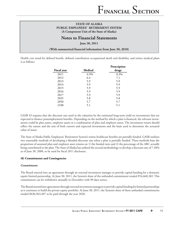## **Notes to Financial Statements**

**June 30, 2011**

(With summarized financial information from June 30, 2010)

Health cost trend for defined benefit, defined contribution occupational death and disability, and retiree medical plans is as follows:

|                    |         | Prescription |
|--------------------|---------|--------------|
| <b>Fiscal year</b> | Medical | drugs        |
| 2011               | 6.9%    | 8.3%         |
| 2012               | 6.4     | 7.1          |
| 2013               | 5.9     | 5.9          |
| 2014               | 5.9     | 5.9          |
| 2015               | 5.9     | 5.9          |
| 2016               | 5.9     | 5.9          |
| 2017               | 5.9     | 5.9          |
| 2025               | 5.8     | 5.8          |
| 2050               | 5.7     | 5.7          |
| 2100               | 5.1     | 5.1          |

GASB 43 requires that the discount rate used in the valuation be the estimated long-term yield on investments that are expected to finance postemployment benefits. Depending on the method by which a plan is financed, the relevant investments could be plan assets, employer assets or a combination of plan and employer assets. The investment return should reflect the nature and the mix of both current and expected investments and the basis used to determine the actuarial value of assets.

The State of Alaska Public Employees' Retirement System's retiree healthcare benefits are partially funded. GASB outlines two reasonable methods of developing a blended discount rate when a plan is partially funded. These methods base the proportion of assumed plan and employer asset returns on 1) the funded ratio and 2) the percentage of the ARC actually being contributed to the plan. The State of Alaska has utilized the second methodology to develop a discount rate of 7.48% as of June 30, 2008, to be used for fiscal 2011 disclosure.

#### **(8) Commitments and Contingencies**

#### *Commitments*

The Board entered into an agreement through an external investment manager to provide capital funding for a domestic equity limited partnership. At June 30, 2011, the System's share of the unfunded commitment totaled \$54,668,382. This commitment can be withdrawn annually in December with 90 days notice.

The Board entered into agreements through external investment managers to provide capital funding for limited partnerships as it continues to build the private equity portfolio. At June 30, 2011, the System's share of these unfunded commitments totaled \$636,963,487 to be paid through the year 2020.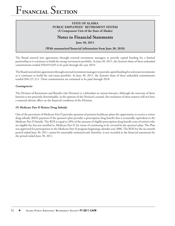## **STATE OF ALASKA PUBLIC EMPLOYEES' RETIREMENT SYSTEM (A Component Unit of the State of Alaska)**

## **Notes to Financial Statements**

**June 30, 2011**

#### (With summarized financial information from June 30, 2010)

The Board entered into agreements through external investment managers to provide capital funding for a limited partnership as it continues to build the energy investment portfolio. At June 30, 2011, the System's share of these unfunded commitments totaled \$50,019,649 to be paid through the year 2019.

The Board entered into agreements through external investment managers to provide capital funding for real estate investments as it continues to build the real estate portfolio. At June 30, 2011, the System's share of these unfunded commitments totaled \$96,137,211. These commitments are estimated to be paid through 2018.

#### *Contingencies*

The Division of Retirement and Benefits (the Division) is a defendant in various lawsuits. Although the outcome of these lawsuits is not presently determinable, in the opinion of the Division's counsel, the resolution of these matters will not have a material adverse effect on the financial condition of the Division.

#### **(9) Medicare Part D Retiree Drug Subsidy**

One of the provisions of Medicare Part D provides sponsors of pension healthcare plans the opportunity to receive a retiree drug subsidy (RDS) payment if the sponsor's plan provides a prescription drug benefi t that is actuarially equivalent to the Medicare Part D benefit. The RDS is equal to 28% of the amount of eligible prescription drug benefit costs of retirees who are eligible for, but not enrolled in, Medicare Part D, by virtue of continuing to be covered by the sponsor's plan. The Plan was approved for participation in the Medicare Part D program beginning calendar year 2006. The RDS for the six-month period ended June 30, 2011 cannot be reasonably estimated and, therefore, is not recorded in the financial statements for the period ended June 30, 2011.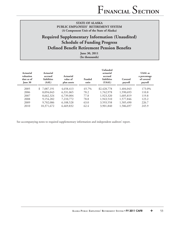# **Required Supplementary Information (Unaudited) Schedule of Funding Progress Defined Benefit Retirement Pension Benefits**

**June 30, 2011 (In thousands)**

| Actuarial<br>valuation<br>date as of<br><b>June 30</b> | Actuarial<br>accrued<br>liabilities<br>(AAL) | <b>Actuarial</b><br>value of<br>plan assets | Funded<br>ratio | <b>Unfunded</b><br>actuarial<br>accrued<br>liabilities<br>(UAAL) | Covered<br>payroll | <b>UAAL</b> as<br>a percentage<br>of covered<br>payroll |
|--------------------------------------------------------|----------------------------------------------|---------------------------------------------|-----------------|------------------------------------------------------------------|--------------------|---------------------------------------------------------|
| 2005                                                   | \$7,087,191                                  | 4,658,413                                   | 65.7%           | \$2,428,778                                                      | 1,404,043          | 173.0%                                                  |
| 2006                                                   | 8,094,043                                    | 6,331,065                                   | 78.2            | 1,762,978                                                        | 1,590,693          | 110.8                                                   |
| 2007                                                   | 8,662,324                                    | 6,739,004                                   | 77.8            | 1,923,320                                                        | 1,605,819          | 119.8                                                   |
| 2008                                                   | 9,154,282                                    | 7,210,772                                   | 78.8            | 1,943,510                                                        | 1,577,846          | 123.2                                                   |
| 2009                                                   | 9,702,086                                    | 6,108,528                                   | 63.0            | 3,593,558                                                        | 1,585,490          | 226.7                                                   |
| 2010                                                   | 10,371,672                                   | 6,469,832                                   | 62.4            | 3,901,840                                                        | 1,586,697          | 245.9                                                   |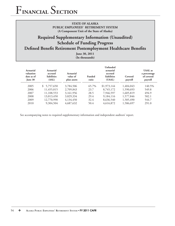## **STATE OF ALASKA PUBLIC EMPLOYEES' RETIREMENT SYSTEM (A Component Unit of the State of Alaska)**

# **Required Supplementary Information (Unaudited) Schedule of Funding Progress Defined Benefit Retirement Postemployment Healthcare Benefits**

**June 30, 2011 (In thousands)**

| Actuarial<br>valuation<br>date as of<br>June $30$ | Actuarial<br>accrued<br><b>liabilities</b><br>(AAL) | Actuarial<br>value of<br>plan assets | <b>Funded</b><br>ratio | Unfunded<br>actuarial<br>accrued<br>liabilities<br>(UAAL) | Covered<br>payroll | <b>UAAL</b> as<br>a percentage<br>of covered<br>payroll |
|---------------------------------------------------|-----------------------------------------------------|--------------------------------------|------------------------|-----------------------------------------------------------|--------------------|---------------------------------------------------------|
| 2005                                              | 5,757,650<br>S.                                     | 3,784,506                            | 65.7%                  | \$1,973,144                                               | 1,404,043          | 140.5%                                                  |
| 2006                                              | 11,455,015                                          | 2,709,843                            | 23.7                   | 8,745,172                                                 | 1,590,693          | 549.8                                                   |
| 2007                                              | 11,108,553                                          | 3,161,956                            | 28.5                   | 7,946,597                                                 | 1,605,819          | 494.9                                                   |
| 2008                                              | 13,013,450                                          | 3,829,334                            | 29.4                   | 9,184,116                                                 | 1,577,846          | 582.1                                                   |
| 2009                                              | 12,770,990                                          | 4,134,450                            | 32.4                   | 8,636,540                                                 | 1,585,490          | 544.7                                                   |
| 2010                                              | 9,304,504                                           | 4,687,632                            | 50.4                   | 4,616,872                                                 | 1,586,697          | 291.0                                                   |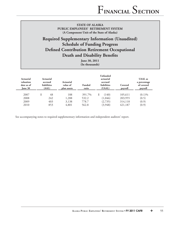# **Required Supplementary Information (Unaudited) Schedule of Funding Progress Defined Contribution Retirement Occupational Death and Disability Benefits**

**June 30, 2011 (In thousands)**

| Actuarial<br>valuation<br>date as of<br><b>June 30</b> | Actuarial<br>accrued<br><b>liabilities</b><br>(AAL) | Actuarial<br>value of<br>plan assets | <b>Funded</b><br>ratio | <b>Unfunded</b><br>actuarial<br>accrued<br><b>liabilities</b><br>(UAAL) | Covered<br>payroll | <b>UAAL</b> as<br>a percentage<br>of covered<br>payroll |
|--------------------------------------------------------|-----------------------------------------------------|--------------------------------------|------------------------|-------------------------------------------------------------------------|--------------------|---------------------------------------------------------|
| 2007                                                   | 48                                                  | 188                                  | 391.7%                 | (140)                                                                   | 105,611            | $(0.1)\%$                                               |
| 2008                                                   | 242                                                 | 1,288                                | 532.2                  | (1,046)                                                                 | 203,955            | (0.5)                                                   |
| 2009                                                   | 403                                                 | 3,138                                | 778.7                  | (2,735)                                                                 | 314,118            | (0.9)                                                   |
| 2010                                                   | 853                                                 | 4,801                                | 562.8                  | (3,948)                                                                 | 421,187            | (0.9)                                                   |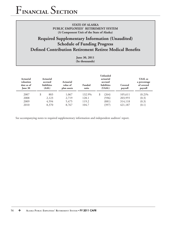# **Required Supplementary Information (Unaudited) Schedule of Funding Progress Defined Contribution Retirement Retiree Medical Benefits**

**June 30, 2011 (In thousands)**

| Actuarial<br>valuation<br>date as of<br><b>June 30</b> | <b>Actuarial</b><br>accrued<br>liabilities<br>(AAL) | <b>Actuarial</b><br>value of<br>plan assets | Funded<br>ratio | <b>Unfunded</b><br>actuarial<br>accrued<br><b>liabilities</b><br>(UAAL) | Covered<br>payroll | <b>UAAL</b> as<br>a percentage<br>of covered<br>payroll |
|--------------------------------------------------------|-----------------------------------------------------|---------------------------------------------|-----------------|-------------------------------------------------------------------------|--------------------|---------------------------------------------------------|
| 2007                                                   | \$<br>803                                           | 1,067                                       | 132.9%          | (264)                                                                   | 105,611            | $(0.2)\%$                                               |
| 2008                                                   | 2.123                                               | 2,719                                       | 128.1           | (596)                                                                   | 203,955            | (0.3)                                                   |
| 2009                                                   | 4,594                                               | 5,475                                       | 119.2           | (881)                                                                   | 314,118            | (0.3)                                                   |
| 2010                                                   | 8,370                                               | 8,767                                       | 104.7           | (397)                                                                   | 421,187            | (0.1)                                                   |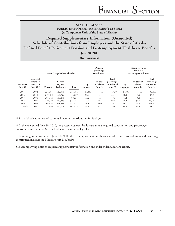# **Required Supplementary Information (Unaudited) Schedule of Contributions from Employers and the State of Alaska Defined Benefit Retirement Pension and Postemployment Healthcare Benefits**

**June 30, 2011** 

**(In thousands)**

|                       |                                                              | Annual required contribution |                                   |              | Pension<br>percentage<br>contributed |                                          |                                                | Postemployment<br>healthcare<br>percentage contributed |                                   |                                                |
|-----------------------|--------------------------------------------------------------|------------------------------|-----------------------------------|--------------|--------------------------------------|------------------------------------------|------------------------------------------------|--------------------------------------------------------|-----------------------------------|------------------------------------------------|
| Year ended<br>June 30 | <b>Actuarial</b><br>valuation<br>date as of<br>June 30 $(1)$ | Pension                      | Postem-<br>ployment<br>healthcare | <b>Total</b> | By<br>employer                       | <b>By State</b><br>of Alaska<br>(note 3) | Total<br>percentage<br>contributed<br>(note 3) | $B_V$<br>employer                                      | By State of<br>Alaska<br>(note 3) | Total<br>percentage<br>contributed<br>(note 3) |
| 2005                  | 2002                                                         | \$234,361                    | 142,393                           | 376,754      | 47.3%                                | $-$ %                                    | 47.3%                                          | 47.3%                                                  | $-$ %                             | 47.3%                                          |
| 2006                  | 2003                                                         | 249,488                      | 166,749                           | 416,237      | 61.0                                 | 4.4                                      | 65.4                                           | 61.0                                                   | 4.4                               | 65.4                                           |
| 2007                  | 2004                                                         | 268,742                      | 189,495                           | 458,237      | 73.2                                 | 4.1                                      | 77.3                                           | 73.2                                                   | 4.1                               | 77.3                                           |
| 2008                  | 2005                                                         | 140,729                      | 370,456                           | 511,185      | 71.2                                 | 36.2                                     | 107.4                                          | 71.2                                                   | 36.2                              | 107.4                                          |
| 2009                  | 2006                                                         | 166,016                      | 391,321                           | 557,337      | 68.1                                 | 48.0                                     | 116.1                                          | 68.1                                                   | 41.4                              | 109.5                                          |
| $2010^{(2)(3)}$       | 2007                                                         | 217,080                      | 790,793                           | 1,007,873    | 65.5                                 | 20.5                                     | 86.0                                           | 31.6                                                   | 54.8                              | 86.4                                           |

<sup>(1)</sup> Actuarial valuation related to annual required contribution for fiscal year.

<sup>(2)</sup> In the year ended June 30, 2010, the postemployment healthcare annual required contribution and percentage contributed includes the Mercer legal settlement net of legal fees.

<sup>(3)</sup> Beginning in the year ended June 30, 2010, the postemployment healthcare annual required contribution and percentage contributed includes the Medicare Part D subsidy.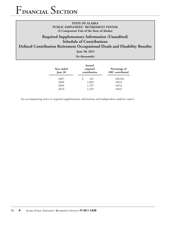# **Required Supplementary Information (Unaudited) Schedule of Contributions**

# **Defined Contribution Retirement Occupational Death and Disability Benefits**

**June 30, 2011**

**(In thousands)** 

| Year ended<br>June 30 | Annual<br>required<br>contribution | Percentage of<br><b>ARC</b> contributed |
|-----------------------|------------------------------------|-----------------------------------------|
| 2007                  | S<br>181                           | 100.0%                                  |
| 2008                  | 1,063                              | 100.0                                   |
| 2009                  | 1,787                              | 100.0                                   |
| 2010                  | 1,495                              | 100.0                                   |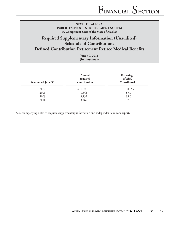# **Required Supplementary Information (Unaudited) Schedule of Contributions**

# **Defined Contribution Retirement Retiree Medical Benefits**

**June 30, 2011 (In thousands)**

| Year ended June 30 | Annual<br>required<br>contribution | Percentage<br>of ARC<br>Contributed |
|--------------------|------------------------------------|-------------------------------------|
| 2007               | \$1,028                            | 100.0%                              |
| 2008               | 1,845                              | 85.0                                |
| 2009               | 3,152                              | 85.0                                |
| 2010               | 3,469                              | 87.0                                |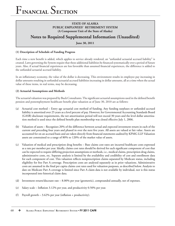# **Notes to Required Supplemental Information (Unaudited)**

**June 30, 2011**

#### **(1) Description of Schedule of Funding Progress**

Each time a new benefit is added, which applies to service already rendered, an "unfunded actuarial accrued liability" is created. Laws governing the System require that these additional liabilities be financed systematically over a period of future years. Also, if actual financial experiences are less favorable than assumed financial experiences, the difference is added to the unfunded actuarial accrued liability.

In an inflationary economy, the value of the dollar is decreasing. This environment results in employee pay increasing in dollar amounts resulting in unfunded actuarial accrued liabilities increasing in dollar amounts, all at a time when the actual value of these items, in real terms, may be decreasing.

#### **(2) Actuarial Assumptions and Methods**

The actuarial valuation was prepared by Buck Consultants. The significant actuarial assumptions used in the defined benefit pension and postemployment healthcare benefit plan valuation as of June 30, 2010 are as follows:

- (a) Actuarial cost method Entry age actuarial cost method of funding. Any funding surpluses or unfunded accrued liability is amortized over 25 years as a level percent of pay. However, for Governmental Accounting Standards Board (GASB) disclosure requirements, the net amortization period will not exceed 30 years and the level dollar amortization method is used since the defined benefit plan membership was closed effective July 1, 2006.
- (b) Valuation of assets Recognizes 20% of the difference between actual and expected investment return in each of the current and preceding four years and phased in over the next five years. All assets are valued at fair value. Assets are accounted for on an accrued basis and are taken directly from financial statements audited by KPMG LLP. Valuation assets are constrained to a range of 80% to 120% of the market value of assets.
- (c) Valuation of medical and prescription drug benefits Base claims cost rates are incurred healthcare costs expressed as a rate per member per year. Ideally, claims cost rates should be derived for each significant component of cost that can be expected to require differing projection assumptions or methods, i.e., medical claims, prescription drug claims, administrative costs, etc. Separate analysis is limited by the availability and credibility of cost and enrollment data for each component of cost. This valuation reflects nonprescription claims separated by Medicare status, including eligibility for free Part A coverage. Prescription costs are analyzed separately as in prior valuations. Administrative costs are assumed in the final per capita claims cost rates used for valuation purposes, as described below. Analysis to date on Medicare Part A coverage is limited since Part A claim data is not available by individual, nor is this status incorporated into historical claim data.
- (d) Investment return/discount rate 8.00% per year (geometric), compounded annually, net of expenses.
- (e) Salary scale Inflation  $3.12\%$  per year, and productivity 0.50% per year.
- (f) Payroll growth  $-3.62\%$  per year (inflation + productivity).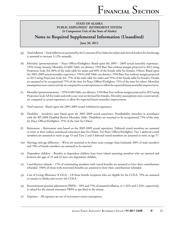# **Notes to Required Supplemental Information (Unaudited)**

**June 30, 2011**

- $(g)$  Total inflation Total inflation as measured by the Consumer Price Index for urban and clerical workers for Anchorage is assumed to increase 3.12% annually.
- (h) Mortality (pretermination) Peace Officer/Firefighter: Based upon the  $2005 2009$  actual mortality experience. 1994 Group Annuity Mortality (GAM) Table, sex distinct, 1994 Base Year without margin projected to 2013 using Projection Scale AA, 80% of the male table for males and 60% of the female table for females. Others: Based upon the 2005-2009 actual mortality experience. 1994 GAM Table, sex distinct, 1994 Base Year without margin projected to 2013 using Projection Scale AA, 75% of the male table for males and 55% of the female table for females. Deaths are assumed to be occupational 75% of the time for Peace Officer/Firefighter, 55% of the time for others. Mortality assumptions were conservatively set compared to actual experience to allow for expected future mortality improvement.
- (i) Mortality (posttermination) 1994 GAM Table, sex-distinct, 1994 Base Year without margin projected to 2013 using Projection Scale AA for males and with a one-year set-forward for females. Mortality assumptions were conservatively set compared to actual experience to allow for expected future mortality improvement.
- (j) Total turnover –Based upon the 2005-2009 actual withdrawal experience.
- (k) Disability Incidence rates based upon the 2005-2009 actual experience. Postdisability mortality in accordance with the RP-2000 Disabled Retiree Mortality Table. Disabilities are assumed to be occupational 75% of the time for Peace Officer/Firefighter, 55% of the time for Others.
- (l) Retirement Retirement rates based on the 2005-2009 actual experience. Deferred vested members are assumed to retire at their earliest unreduced retirement date for Others. For Peace Officer/Firefighter, Tier 1 deferred vested members are assumed to retire at age 53 and Tiers 2 and 3 deferred vested members are assumed to retire at age 57.
- (m) Marriage and age difference Wives are assumed to be three years younger than husbands. 80% of male members and 70% of female members are assumed to be married.
- (n) Dependent children Benefits to dependent children have been valued assuming members who are married and between the ages of 25 and 45 have two dependent children.
- (o) Contribution refunds 15% of terminating members with vested benefits are assumed to have their contributions refunded. 100% of those with nonvested benefits are assumed to have their contributions refunded.
- (p) Cost of Living Allowance (COLA) Of those benefi t recipients who are eligible for the COLA, 70% are assumed to remain in Alaska and receive the COLA.
- (q) Postretirement pension adjustment (PRPA) 50% and 75% of assumed inflation, or 1.56% and 2.34%, respectively, is valued for the annual automatic PRPA as specified in the statute.
- (r) Expenses All expenses are net of investment return assumption.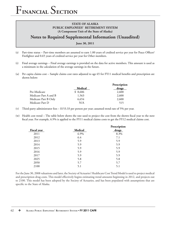# **Notes to Required Supplemental Information (Unaudited)**

**June 30, 2011**

- $(s)$  Part-time status Part-time members are assumed to earn 1.00 years of credited service per year for Peace Officer/ Firefighter and 0.65 years of credited service per year for Other members.
- (t) Final average earnings Final average earnings is provided on the data for active members. This amount is used as a minimum in the calculation of the average earnings in the future.
- (u) Per capita claims cost Sample claims cost rates adjusted to age  $65$  for FY11 medical benefits and prescription are shown below:

|                       |         | Prescription |
|-----------------------|---------|--------------|
|                       | Medical | <u>drugs</u> |
| Pre-Medicare          | \$8,606 | 2,600        |
| Medicare Part A and B | 1,563   | 2,600        |
| Medicare Part B Only  | 6,654   | 2,600        |
| Medicare Part D       | N/A     | 515          |

- (v) Third-party administrator fees \$153.33 per person per year; assumed trend rate of 5% per year.
- (w) Health cost trend The table below shows the rate used to project the cost from the shown fiscal year to the next fiscal year. For example, 6.9% is applied to the FY11 medical claims costs to get the FY12 medical claims cost.

|                | Prescription |
|----------------|--------------|
| <b>Medical</b> | drugs        |
| 6.9%           | 8.3%         |
| 6.4            | 7.1          |
| 5.9            | 5.9          |
| 5.9            | 5.9          |
| 5.9            | 5.9          |
| 5.9            | 5.9          |
| 5.9            | 5.9          |
| 5.8            | 5.8          |
| 5.7            | 5.7          |
| 5.1            | 5.1          |
|                |              |

For the June 30, 2008 valuations and later, the Society of Actuaries' Healthcare Cost Trend Model is used to project medical and prescription drug costs. This model effectively begins estimating trend amounts beginning in 2012, and projects out to 2100. This model has been adopted by the Society of Actuaries, and has been populated with assumptions that are specific to the State of Alaska.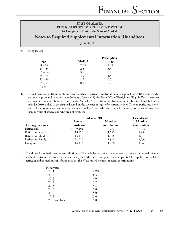# **Notes to Required Supplemental Information (Unaudited)**

**June 30, 2011**

#### (x) Aging factors:

|           |                | Prescription |
|-----------|----------------|--------------|
| Age       | <b>Medical</b> | drugs        |
| $0 - 44$  | 2.0%           | 4.5%         |
| $45 - 54$ | 2.5            | 3.5          |
| $55 - 64$ | 3.5            | 3.0          |
| $65 - 74$ | 4.0            | 1.5          |
| $75 - 84$ | 1.5            | 0.5          |
| $85 - 94$ | 0.5            |              |
| $95+$     |                |              |

(y) Retired member contributions for medical benefits – Currently, contributions are required for PERS members who are under age 60 and have less than 30 years of service (25 for Peace Officer/Firefighter). Eligible Tier 1 members are exempt from contribution requirements. Annual FY11 contributions based on monthly rates shown below for calendar 2010 and 2011 are assumed based on the coverage category for current retirees. The composite rate shown is used for current active and inactive members in Tier 2 or 3 who are assumed to retire prior to age 60 with less than 30 years of service and who are not disabled:

|                        | Calendar 2011 |              | Calendar 2010 |  |
|------------------------|---------------|--------------|---------------|--|
|                        | Annual        | Monthly      | Monthly       |  |
| Coverage category      | contribution  | contribution | contribution  |  |
| Retiree only           | 9,492         | 791          | 719           |  |
| Retiree and spouse     | 18,996        | 1,583        | 1,439         |  |
| Retiree and child(ren) | 13,416        | 1,118        | 1,016         |  |
| Retiree and family     | 22,920        | 1,910        | 1,736         |  |
| Composite              | 14,112        | 1,176        | 1,068         |  |

(z) Trend rate for retired member contributions – The table below shows the rate used to project the retired member medical contributions from the shown fiscal year to the next fiscal year. For example, 6.7% is applied to the FY11 retired member medical contributions to get the FY12 retired member medical contributions.

| Fiscal year:   |      |
|----------------|------|
| 2011           | 6.7% |
| 2012           | 6.3  |
| 2013           | 6.0  |
| 2014           | 5.7  |
| 2015           | 5.3  |
| 2016           | 5.0  |
| 2017           | 5.0  |
| 2018           | 5.0  |
| 2019 and later | 5.0  |
|                |      |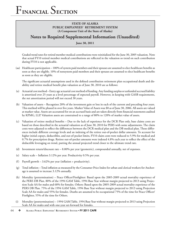# **Notes to Required Supplemental Information (Unaudited)**

**June 30, 2011**

 Graded trend rates for retired member medical contributions were reinitialized for the June 30, 2005 valuation. Note that actual FY10 retired member medical contributions are reflected in the valuation so trend on such contribution during FY10 is not applicable.

 $(aa)$  Healthcare participation – 100% of system paid members and their spouses are assumed to elect healthcare benefits as soon as they are eligible. 10% of nonsystem paid members and their spouses are assumed to elect healthcare benefits as soon as they are eligible.

The significant actuarial assumptions used in the defined contribution retirement plan occupational death and disability and retiree medical benefit plan valuation as of June 30, 2010 are as follows:

- (a) Actuarial cost method Entry age actuarial cost method of funding. Any funding surplus or unfunded accrued liability is amortized over 25 years as a level percentage of expected payroll. However, in keeping with GASB requirements, the net amortization period will not exceed 30 years.
- (b) Valuation of assets Recognizes 20% of the investment gain or loss in each of the current and preceding four years. This method will be phased in over five years. Market Value of Assets was \$0 as of June 30, 2006. All assets are valued at market value. Assets are accounted for on an accrued basis and are taken directly from financial statements audited by KPMG, LLP. Valuation assets are constrained to a range of 80% to 120% of market value of assets.
- (c) Valuation of retiree medical benefits Due to the lack of experience for the DCR Plan only, base claims costs are based on those described in the actuarial valuation as of June 30, 2010 for PERS with some adjustments. The claim costs were adjusted to reflect the differences between the DCR medical plan and the DB medical plan. These differences include different coverage levels and an indexing of the retiree out-of-pocket dollar amounts. To account for higher initial copays, deductibles, and out-of-pocket limits, FY10 claim costs were reduced to 5.9% for medical and 0.7% for prescription drugs. Retiree out-of-pocket amounts were indexed 4.8% each year to reflect the effect of the deductible leveraging on trend, putting the annual projected trend closer to the ultimate trend rate.
- (d) Investment return/discount rate 8.00% per year (geometric), compounded annually, net of expenses.
- (e) Salary scale Inflation 3.12% per year. Productivity 0.5% per year.
- (f) Payroll growth  $-3.62\%$  per year (inflation + productivity).
- $(g)$  Total inflation Total inflation as measured by the Consumer Price Index for urban and clerical workers for Anchorage is assumed to increase 3.12% annually.
- (h) Mortality (pretermination) Peace Officer/Firefighter: Based upon the 2005-2009 actual mortality experience of the PERS DB Plan. 80% of the 1994 GAM Table, 1994 Base Year without margin projected to 2013 using Projection Scale AA for males and 60% for females. Others: Based upon the 2005-2009 actual mortality experience of the PERS DB Plan. 75% of the 1994 GAM Table, 1994 Base Year without margin projected to 2013 using Projection Scale AA for males and 55% for females. Deaths are assumed to be occupational 75% of the time for Peace Officer/ Firefighter, 55% of the time for Others.
- (i) Mortality (posttermination) 1994 GAM Table, 1994 Base Year without margin projected to 2013 using Projection Scale AA for males and with one-year set-forward for females.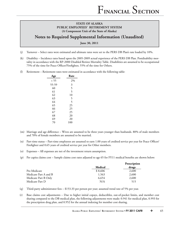# **Notes to Required Supplemental Information (Unaudited)**

**June 30, 2011**

- (j) Turnover Select rates were estimated and ultimate rates were set to the PERS DB Plan's rate loaded by 10%.
- (k) Disability Incidence rates based upon the 2005-2009 actual experience of the PERS DB Plan. Postdisability mortality in accordance with the RP-2000 Disabled Retiree Mortality Table. Disabilities are assumed to be occupational 75% of the time for Peace Officer/Firefighter, 55% of the time for Others.
- (l) Retirement Retirement rates were estimated in accordance with the following table:

| Age   | Rate |
|-------|------|
| < 55  | 2%   |
| 55-59 | 3    |
| 60    | 5    |
| 61    | 5    |
| 62    | 10   |
| 63    | 5    |
| 64    | 5    |
| 65    | 25   |
| 66    | 25   |
| 67    | 25   |
| 68    | 20   |
| 69    | 20   |
| 70    | 100  |
|       |      |

- (m) Marriage and age difference Wives are assumed to be three years younger than husbands. 80% of male members and 70% of female members are assumed to be married.
- $(n)$  Part-time status Part-time employees are assumed to earn 1.00 years of credited service per year for Peace Officer/ Firefighter and 0.65 years of credited service per year for Other members.
- (o) Expenses All expenses are net of the investment return assumption.
- (p) Per capita claims cost Sample claims cost rates adjusted to age  $65$  for FY11 medical benefits are shown below:

|                       |         | Prescription |
|-----------------------|---------|--------------|
|                       | Medical | drugs        |
| Pre-Medicare          | \$8,606 | 2,600        |
| Medicare Part A and B | 1.563   | 2,600        |
| Medicare Part B Only  | 6,654   | 2,600        |
| Medicare Part D       | N/A     | 515          |

- (q) Third-party administrator fees \$153.33 per person per year; assumed trend rate of 5% per year.
- (r) Base claims cost adjustments Due to higher initial copays, deductibles, out-of-pocket limits, and member cost sharing compared to the DB medical plan, the following adjustments were made: 0.941 for medical plan, 0.993 for the prescription drug plan, and 0.952 for the annual indexing for member cost sharing.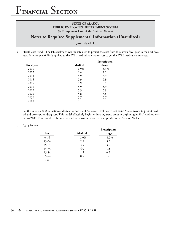# **Notes to Required Supplemental Information (Unaudited)**

**June 30, 2011**

(s) Health cost trend – The table below shows the rate used to project the cost from the shown fiscal year to the next fiscal year. For example, 6.9% is applied to the FY11 medical rate claims cost to get the FY12 medical claims costs.

|                    |         | Prescription |
|--------------------|---------|--------------|
| <b>Fiscal year</b> | Medical | drugs        |
| 2011               | 6.9%    | 8.3%         |
| 2012               | 6.4     | 7.1          |
| 2013               | 5.9     | 5.9          |
| 2014               | 5.9     | 5.9          |
| 2015               | 5.9     | 5.9          |
| 2016               | 5.9     | 5.9          |
| 2017               | 5.9     | 5.9          |
| 2025               | 5.8     | 5.8          |
| 2050               | 5.7     | 5.7          |
| 2100               | 5.1     | 5.1          |
|                    |         |              |

For the June 30, 2008 valuation and later, the Society of Actuaries' Healthcare Cost Trend Model is used to project medical and prescription drug cost. This model effectively begins estimating trend amount beginning in 2012 and projects out to 2100. This model has been populated with assumptions that are specific to the State of Alaska.

#### (t) Aging factors:

| Age       | Medical | Prescription<br>drugs |
|-----------|---------|-----------------------|
| $0-44$    | 2.0%    | 4.5%                  |
| 45-54     | 2.5     | 3.5                   |
| 55-64     | 3.5     | 3.0                   |
| $65 - 74$ | 4.0     | 1.5                   |
| 75-84     | 1.5     | 0.5                   |
| 85-94     | 0.5     |                       |
| $95+$     |         |                       |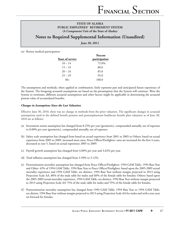# **Notes to Required Supplemental Information (Unaudited)**

**June 30, 2011**

(u) Retiree medical participation:

|                         | Percent       |  |  |
|-------------------------|---------------|--|--|
| <b>Years of service</b> | participation |  |  |
| $10 - 14$               | 75.0%         |  |  |
| $15 - 19$               | 80.0          |  |  |
| $20 - 24$               | 85.0          |  |  |
| $25 - 29$               | 95.0          |  |  |
| $30+$                   | 100.0         |  |  |

The assumptions and methods, when applied in combination, fairly represent past and anticipated future experience of the System. The foregoing actuarial assumptions are based on the presumption that the System will continue. Were the System to terminate, different actuarial assumptions and other factors might be applicable in determining the actuarial present value of accumulated benefits.

#### *Changes in Assumptions Since the Last Valuation*

Effective June 30, 2010, there was no change in methods from the prior valuation. The significant changes in actuarial assumptions used in the defined benefit pension and postemployment healthcare benefit plan valuation as of June 30, 2010 are as follows:

- (a) Investment return assumption has changed from 8.25% per year (geometric), compounded annually, net of expenses to 8.00% per year (geometric), compounded annually, net of expenses.
- (b) Salary scale assumption has changed from based on actual experience from 2001 to 2005 to Others: based on actual experience from 2005 to 2009, increased most rates, Peace Officer/Firefighter: rates are increased for the first 4 years, decreased at year 5, based on actual experience 2005 to 2009.
- (c) Payroll growth assumption has changed from 4.00% per year and 3.62% per year.
- (d) Total inflation assumption has changed from  $3.50\%$  to  $3.12\%$ .
- (e) Pretermination mortality assumption has changed from Peace Officer/Firefighter: 1994 GAM Table, 1994 Base Year and Other: 42% of 1994 GAM Table, 1994 Base Year to Peace Officer/Firefighter: based upon the 2005-2009 actual mortality experience and 1994 GAM Table, sex distinct, 1994 Base Year without margin projected to 2013 using Projection Scale AA, 80% of the male table for males and 60% of the female table for females; Others: based upon the 2005-2009 actual mortality experience, 1994 GAM Table, sex distinct, 1994 Base Year without margin projected to 2013 using Projection Scale AA 75% of the male table for males and 55% of the female table for females.
- (f) Posttermination mortality assumption has changed from 1994 GAM Table, 1994 Base Year to 1994 GAM Table, sex-distint, 1994 Base Year without margin projected to 2013 using Projection Scale AA for males and with a one-year set-forward for females.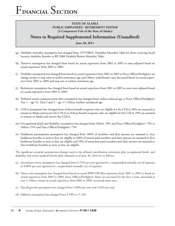# **Notes to Required Supplemental Information (Unaudited)**

**June 30, 2011**

- (g) Disability mortality assumption has changed from 1979 PBGC Disability Mortality Table for those receiving Social Security disability benefits to RP-2000 Disabled Retiree Mortality Table.
- (h) Turnover assumption has changed from based on actual experience from 2001 to 2005 to rates adjusted based on actual experience from 2005 to 2009.
- (i) Disability assumption has changed from based on actual experience from 2001 to 2005 to Peace Officer/Firefighter: no change except to stop rates at earliest retirement age and Others: male/female rates decreased based on actual experience from 2005 to 2009 and stop rate at earliest retirement age.
- (j) Retirement assumption has changed from based on actual experience from 2001 to 2005 to rates were adjusted based on actual experience from 2005 to 2009.
- (k) Deferred vested commencement date assumption has changed from earliest reduced age to Peace Officer/Firefighter: Tier 1 – age 53, Tiers 2 and 3 – age 57; Others: Earliest unreduced age.
- (l) COLA assumption has changed from of those benefit recipients who are eligible for the COLA, 60% are assumed to remain in Alaska and receive the COLA to of those benefit recipients who are eligible for the COLA, 70% are assumed to remain in Alaska and receive the COLA.
- (m) Occupational death and disability assumption has changed from Others: 50% and Peace Officer/Firefighter: 75% to Others: 55% and Peace Officer/Firefighter: 75%.
- (n) Healthcare participation assumption has changed from 100% of members and their spouses are assumed to elect healthcare benefits as soon as they are eligible to 100% of system paid members and their spouses are assumed to elect healthcare benefits as soon as they are eligible and 10% of nonsystem paid members and their spouses are assumed to elect healthcare benefits as soon as they are eligible.

The significant actuarial assumptions changes used in the defined contribution retirement plan occupational death and disability and retiree medical benefit plan valuation as of June 30, 2010 are as follows:

- (a) Investment return assumption has changed from 8.25% per year (geometric), compounded annually, net of expenses to 8.00% per year (geometric), compounded annually, net of expenses.
- (b) Salary scale assumption has changed from based on actual PERS DB Plan experience from 2001 to 2005 to based on actual experience from 2005 to 2009, Peace Officer/Firefighter: Rates are increased for the first 4 years, decreased at year 5; Others: based on actual experience from 2005 to 2009, increased most rates.
- (c) Payroll growth assumption has changed from 4.00% per year and 3.62% per year.
- (d) Inflation assumption has changed from  $3.50\%$  to  $3.12\%$ .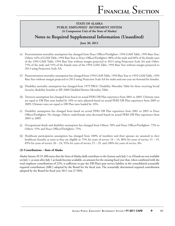# **Notes to Required Supplemental Information (Unaudited)**

**June 30, 2011**

- (e) Pretermination mortality assumption has changed from Peace Officer/Firefighter: 1994 GAM Table, 1994 Base Year; Others: 42% of GAM Table, 1994 Base Year to Peace Officer/Firefighter: 80% of the male and 60% of the female rates of the 1994 GAM Table, 1994 Base Year without margin projected to 2013 using Projection Scale AA and; Other: 75% of the male and 55% of the female rates of the 1994 GAM Table, 1994 Base Year without margin projected to 2013 using Projection Scale AA.
- (f) Posttermination mortality assumption has changed from 1994 GAM Table, 1994 Base Year to 1994 GAM Table, 1994 Base Year without margin projected to 2013 using Projection Scale AA for males and one-year set-forward for females.
- (g) Disability mortality assumption has changed from 1979 PBGC Disability Mortality Table for those receiving Social Security disability benefits to RP-2000 Disabled Retiree Mortality Table.
- (h) Turnover assumption has changed from based on actual PERS DB Plan experience from 2001 to 2005; Ultimate rates are equal to DB Plan rates loaded by 10% to rates adjusted based on actual PERS DB Plan experience from 2005 to 2009; Ultimate rates are equal to DB Plan rates loaded by 10%.
- (i) Disability assumption has changed from based on actual PERS DB Plan experience from 2001 to 2005 to Peace Officer/Firefighter: No change; Others: male/female rates decreased based on actual PERS DB Plan experience from 2005 to 2009.
- (j) Occupational death and disability assumption has changed from Others: 50% and Peace Officer/Firefighter: 75% to Others: 55% and Peace Officer/Firefighter: 75%.
- (k) Healthcare participation assumption has changed from 100% of members and their spouses are assumed to elect healthcare benefits as soon as they are eligible to 75% for years of service  $10 - 14$ , 80% for years of service  $15 - 19$ , 85% for years of service  $20 - 24$ , 95% for years of service  $25 - 29$ , and 100% for years of service  $30+$ .

#### **(3) Contributions – State of Alaska**

Alaska Statute 39.35.280 states that the State of Alaska shall contribute to the System each July 1 or, if funds are not available on July 1, as soon after July 1 as funds become available, an amount for the ensuing fiscal year that, when combined with the total employer contributions of 22%, is sufficient to pay the DB Plan's past service liability at the consolidated actuarially required contribution (ARC) adopted by the Board for the fiscal year. The actuarially determined required contribution adopted by the Board for fiscal year 2011 was 27.96%.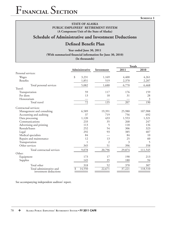**SCHEDULE 1**

# F**INANCIAL** S**ECTION**

**STATE OF ALASKA PUBLIC EMPLOYEES' RETIREMENT SYSTEM (A Component Unit of the State of Alaska)**

# **Schedule of Administrative and Investment Deductions**

# **Defined Benefit Plan**

**Year ended June 30, 2011**

(With summarized financial information for June 30, 2010)

**(In thousands)**

|                                                   |                 |            | <b>Totals</b>    |                  |  |
|---------------------------------------------------|-----------------|------------|------------------|------------------|--|
|                                                   | Administrative  | Investment | 2011             | 2010             |  |
| Personal services:                                |                 |            |                  |                  |  |
| Wages                                             | \$<br>3,231     | 1,169      | 4,400            | 4,261            |  |
| Benefits                                          | 1,851           | 519        | 2,370            | 2,207            |  |
| Total personal services                           | 5,082           | 1,688      | 6,770            | 6,468            |  |
| Travel:                                           |                 |            |                  |                  |  |
| Transportation                                    | 59              | 117        | 176              | 159              |  |
| Per diem                                          | 13              | 18         | 31               | 28               |  |
| Honorarium                                        |                 |            |                  | $\mathfrak{Z}$   |  |
| Total travel                                      | $\overline{72}$ | 135        | $\overline{207}$ | $\overline{190}$ |  |
| Contractual services:                             |                 |            |                  |                  |  |
| Management and consulting                         | 6,589           | 19,391     | 25,980           | 107,988          |  |
| Accounting and auditing                           | 37              | 719        | 756              | 692              |  |
| Data processing                                   | 1,120           | 433        | 1,553            | 1,321            |  |
| Communications                                    | 233             | 35         | 268              | 247              |  |
| Advertising and printing                          | 113             | 5          | 118              | 134              |  |
| Rentals/leases                                    | 252             | 54         | 306              | 323              |  |
| Legal                                             | 292             | 93         | 385              | 407              |  |
| Medical specialists                               | 84              |            | 84               | 10               |  |
| Repairs and maintenance                           | 12              | 13         | 25               | 60               |  |
| Transportation                                    | 1               | 2          | 3                | 5                |  |
| Other services                                    | 345             | 51         | 396              | 358              |  |
| Total contractual services                        | 9,078           | 20,796     | 29,874           | 111,545          |  |
| Other:                                            |                 |            |                  |                  |  |
| Equipment                                         | 173             | 17         | 190              | 213              |  |
| Supplies                                          | 145             | 35         | 180              | 94               |  |
| Total other                                       | 318             | 52         | 370              | 307              |  |
| Total administrative and<br>investment deductions | 14,550<br>\$    | 22,671     | 37,221           | 118,510          |  |

See accompanying independent auditors' report.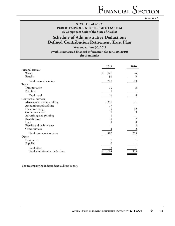**SCHEDULE 2**

**STATE OF ALASKA PUBLIC EMPLOYEES' RETIREMENT SYSTEM (A Component Unit of the State of Alaska)**

# **Schedule of Administrative Deductions Defined Contribution Retirement Trust Plan**

**Year ended June 30, 2011** (With summarized financial information for June 30, 2010) **(In thousands)**

|                                 | 2011      | 2010 |
|---------------------------------|-----------|------|
| Personal services:              |           |      |
| Wages                           | \$<br>146 | 94   |
| Benefits                        | 91        | 9    |
| Total personal services         | 240       | 103  |
| Travel:                         |           |      |
| Transportation                  | 10        | 3    |
| Per Diem                        |           |      |
| Total travel                    | 11        | 4    |
| Contractual services:           |           |      |
| Management and consulting       | 1,318     | 191  |
| Accounting and auditing         | 17        |      |
| Data processing                 | 35        | 12   |
| Communications                  | 5         | 3    |
| Advertising and printing        |           |      |
| Rentals/leases                  | 11        |      |
| Legal                           | 9         | 8    |
| Repairs and maintenance         |           | 2    |
| Other services                  |           |      |
| Total contractual services      | 1,400     | 225  |
| Other:                          |           |      |
| Equipment                       |           |      |
| Supplies                        |           |      |
| Total other                     | 13        |      |
| Total administrative deductions | 1,664     | 335  |

See accompanying independent auditors' report.